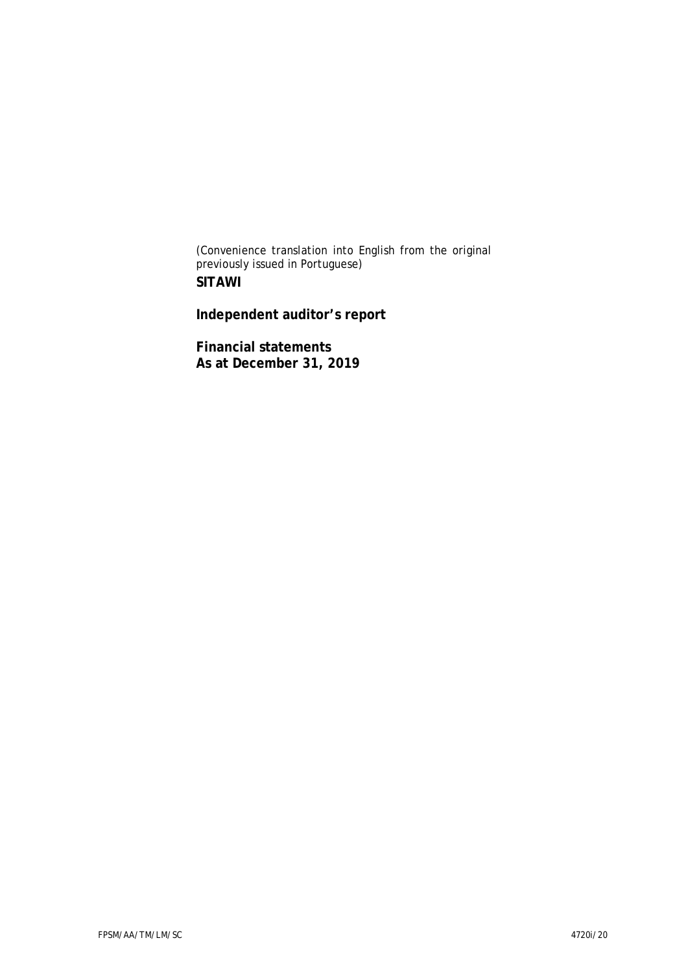(Convenience translation into English from the original previously issued in Portuguese) **SITAWI**

**Independent auditor's report**

**Financial statements As at December 31, 2019**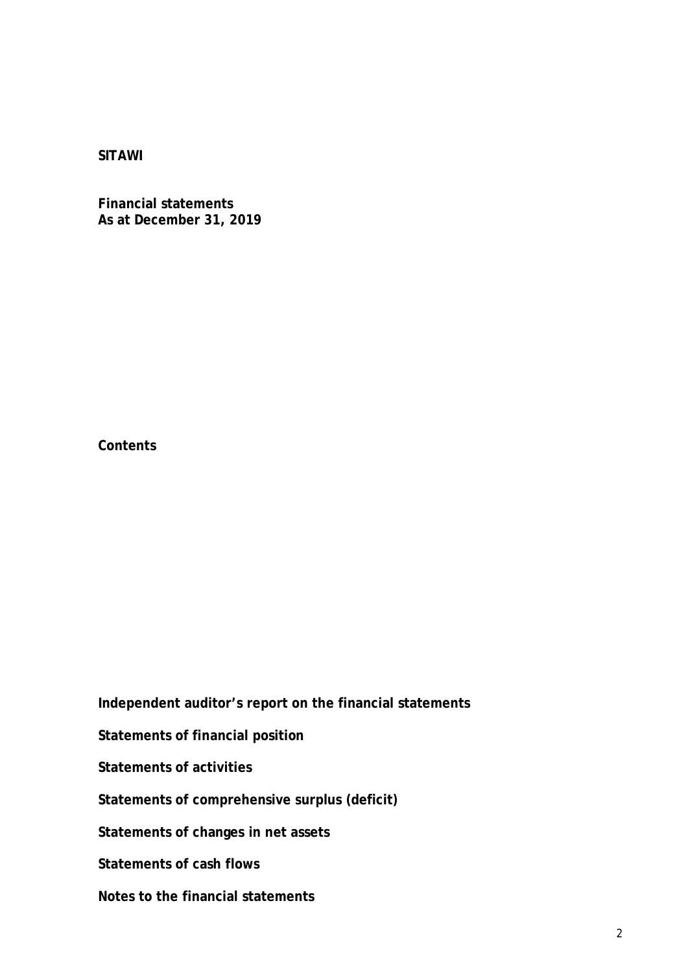**Financial statements As at December 31, 2019**

**Contents**

**Independent auditor's report on the financial statements**

**Statements of financial position**

**Statements of activities**

**Statements of comprehensive surplus (deficit)**

**Statements of changes in net assets**

**Statements of cash flows**

**Notes to the financial statements**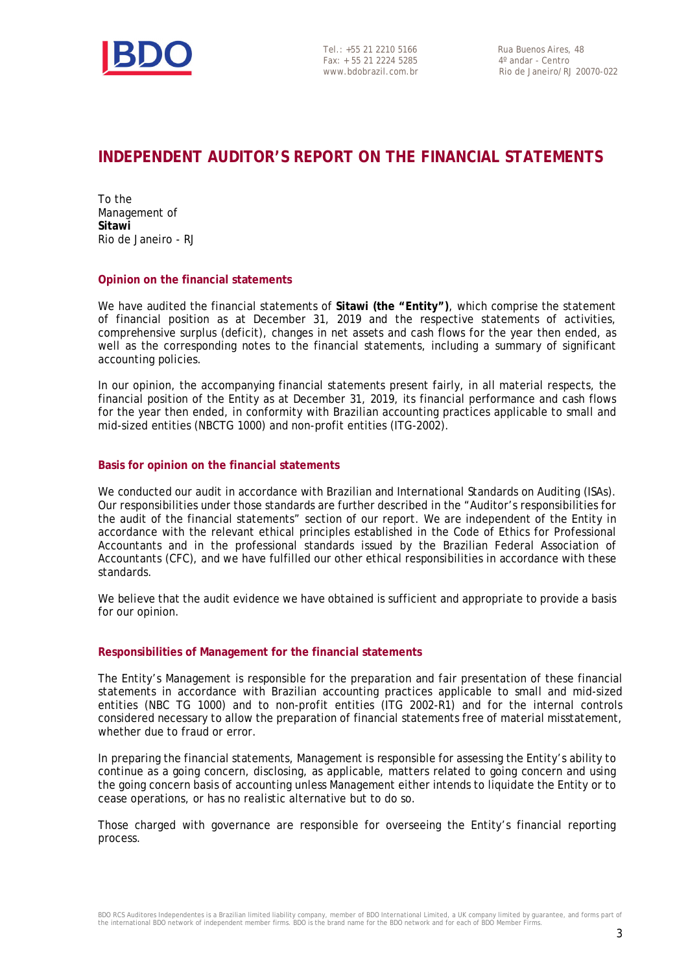

Fax: + 55 21 2224 5285 4º andar - Centro

### **INDEPENDENT AUDITOR'S REPORT ON THE FINANCIAL STATEMENTS**

To the Management of **Sitawi** Rio de Janeiro - RJ

#### **Opinion on the financial statements**

We have audited the financial statements of **Sitawi (the "Entity")**, which comprise the statement of financial position as at December 31, 2019 and the respective statements of activities, comprehensive surplus (deficit), changes in net assets and cash flows for the year then ended, as well as the corresponding notes to the financial statements, including a summary of significant accounting policies.

In our opinion, the accompanying financial statements present fairly, in all material respects, the financial position of the Entity as at December 31, 2019, its financial performance and cash flows for the year then ended, in conformity with Brazilian accounting practices applicable to small and mid-sized entities (NBCTG 1000) and non-profit entities (ITG-2002).

#### **Basis for opinion on the financial statements**

We conducted our audit in accordance with Brazilian and International Standards on Auditing (ISAs). Our responsibilities under those standards are further described in the "Auditor's responsibilities for the audit of the financial statements" section of our report. We are independent of the Entity in accordance with the relevant ethical principles established in the Code of Ethics for Professional Accountants and in the professional standards issued by the Brazilian Federal Association of Accountants (CFC), and we have fulfilled our other ethical responsibilities in accordance with these standards.

We believe that the audit evidence we have obtained is sufficient and appropriate to provide a basis for our opinion.

#### **Responsibilities of Management for the financial statements**

The Entity's Management is responsible for the preparation and fair presentation of these financial statements in accordance with Brazilian accounting practices applicable to small and mid-sized entities (NBC TG 1000) and to non-profit entities (ITG 2002-R1) and for the internal controls considered necessary to allow the preparation of financial statements free of material misstatement, whether due to fraud or error.

In preparing the financial statements, Management is responsible for assessing the Entity's ability to continue as a going concern, disclosing, as applicable, matters related to going concern and using the going concern basis of accounting unless Management either intends to liquidate the Entity or to cease operations, or has no realistic alternative but to do so.

Those charged with governance are responsible for overseeing the Entity's financial reporting process.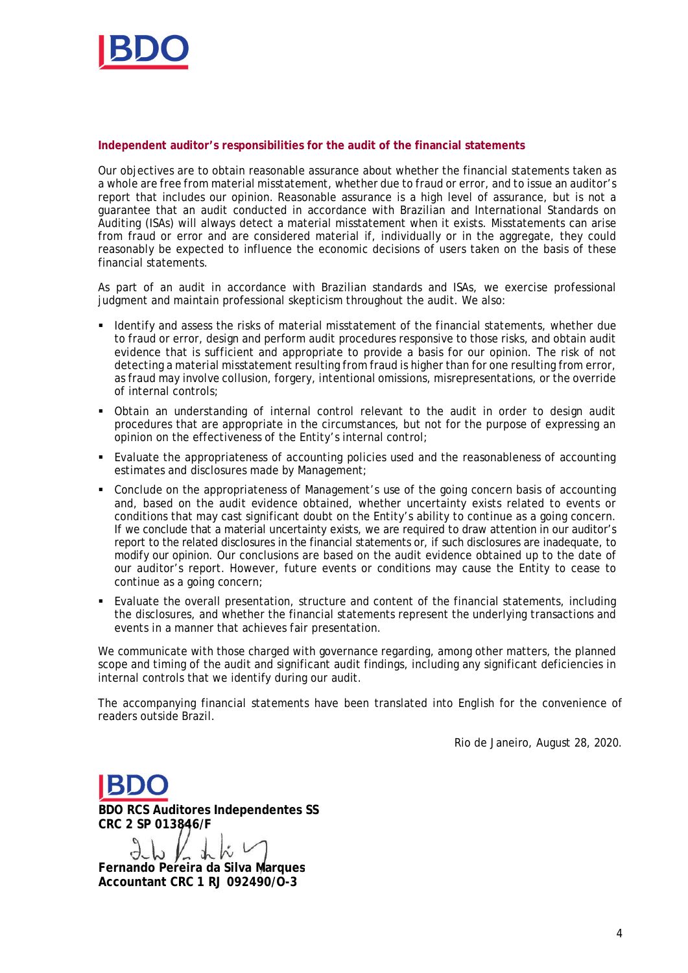

#### **Independent auditor's responsibilities for the audit of the financial statements**

Our objectives are to obtain reasonable assurance about whether the financial statements taken as a whole are free from material misstatement, whether due to fraud or error, and to issue an auditor's report that includes our opinion. Reasonable assurance is a high level of assurance, but is not a guarantee that an audit conducted in accordance with Brazilian and International Standards on Auditing (ISAs) will always detect a material misstatement when it exists. Misstatements can arise from fraud or error and are considered material if, individually or in the aggregate, they could reasonably be expected to influence the economic decisions of users taken on the basis of these financial statements.

As part of an audit in accordance with Brazilian standards and ISAs, we exercise professional judgment and maintain professional skepticism throughout the audit. We also:

- § Identify and assess the risks of material misstatement of the financial statements, whether due to fraud or error, design and perform audit procedures responsive to those risks, and obtain audit evidence that is sufficient and appropriate to provide a basis for our opinion. The risk of not detecting a material misstatement resulting from fraud is higher than for one resulting from error, as fraud may involve collusion, forgery, intentional omissions, misrepresentations, or the override of internal controls;
- § Obtain an understanding of internal control relevant to the audit in order to design audit procedures that are appropriate in the circumstances, but not for the purpose of expressing an opinion on the effectiveness of the Entity's internal control;
- Evaluate the appropriateness of accounting policies used and the reasonableness of accounting estimates and disclosures made by Management;
- § Conclude on the appropriateness of Management's use of the going concern basis of accounting and, based on the audit evidence obtained, whether uncertainty exists related to events or conditions that may cast significant doubt on the Entity's ability to continue as a going concern. If we conclude that a material uncertainty exists, we are required to draw attention in our auditor's report to the related disclosures in the financial statements or, if such disclosures are inadequate, to modify our opinion. Our conclusions are based on the audit evidence obtained up to the date of our auditor's report. However, future events or conditions may cause the Entity to cease to continue as a going concern;
- § Evaluate the overall presentation, structure and content of the financial statements, including the disclosures, and whether the financial statements represent the underlying transactions and events in a manner that achieves fair presentation.

We communicate with those charged with governance regarding, among other matters, the planned scope and timing of the audit and significant audit findings, including any significant deficiencies in internal controls that we identify during our audit.

The accompanying financial statements have been translated into English for the convenience of readers outside Brazil.

Rio de Janeiro, August 28, 2020.

**BDO RCS Auditores Independentes SS CRC 2 SP 013846/F**

**Fernando Pereira da Silva Marques Accountant CRC 1 RJ 092490/O-3**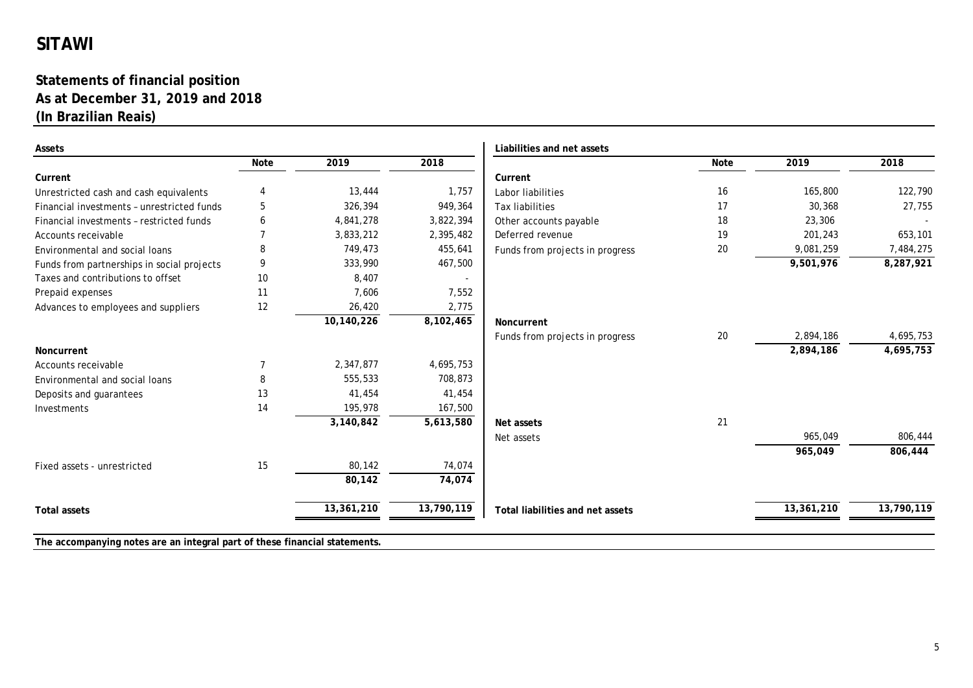### **Statements of financial position As at December 31, 2019 and 2018 (In Brazilian Reais)**

| Assets                                     |      |            |            | Liabilities and net assets       |      |            |            |
|--------------------------------------------|------|------------|------------|----------------------------------|------|------------|------------|
|                                            | Note | 2019       | 2018       |                                  | Note | 2019       | 2018       |
| Current                                    |      |            |            | Current                          |      |            |            |
| Unrestricted cash and cash equivalents     |      | 13,444     | 1,757      | Labor liabilities                | 16   | 165,800    | 122,790    |
| Financial investments - unrestricted funds | 5    | 326,394    | 949,364    | <b>Tax liabilities</b>           | 17   | 30,368     | 27,755     |
| Financial investments - restricted funds   | 6    | 4,841,278  | 3,822,394  | Other accounts payable           | 18   | 23,306     |            |
| Accounts receivable                        |      | 3,833,212  | 2,395,482  | Deferred revenue                 | 19   | 201,243    | 653,101    |
| Environmental and social loans             | 8    | 749,473    | 455,641    | Funds from projects in progress  | 20   | 9,081,259  | 7,484,275  |
| Funds from partnerships in social projects | 9    | 333,990    | 467,500    |                                  |      | 9,501,976  | 8,287,921  |
| Taxes and contributions to offset          | 10   | 8,407      |            |                                  |      |            |            |
| Prepaid expenses                           | 11   | 7,606      | 7,552      |                                  |      |            |            |
| Advances to employees and suppliers        | 12   | 26,420     | 2,775      |                                  |      |            |            |
|                                            |      | 10,140,226 | 8,102,465  | Noncurrent                       |      |            |            |
|                                            |      |            |            | Funds from projects in progress  | 20   | 2,894,186  | 4,695,753  |
| Noncurrent                                 |      |            |            |                                  |      | 2,894,186  | 4,695,753  |
| Accounts receivable                        |      | 2,347,877  | 4,695,753  |                                  |      |            |            |
| Environmental and social loans             | 8    | 555,533    | 708,873    |                                  |      |            |            |
| Deposits and guarantees                    | 13   | 41,454     | 41,454     |                                  |      |            |            |
| Investments                                | 14   | 195,978    | 167,500    |                                  |      |            |            |
|                                            |      | 3,140,842  | 5,613,580  | Net assets                       | 21   |            |            |
|                                            |      |            |            | Net assets                       |      | 965,049    | 806,444    |
|                                            |      |            |            |                                  |      | 965,049    | 806,444    |
| Fixed assets - unrestricted                | 15   | 80,142     | 74,074     |                                  |      |            |            |
|                                            |      | 80,142     | 74,074     |                                  |      |            |            |
| <b>Total assets</b>                        |      | 13,361,210 | 13,790,119 | Total liabilities and net assets |      | 13,361,210 | 13,790,119 |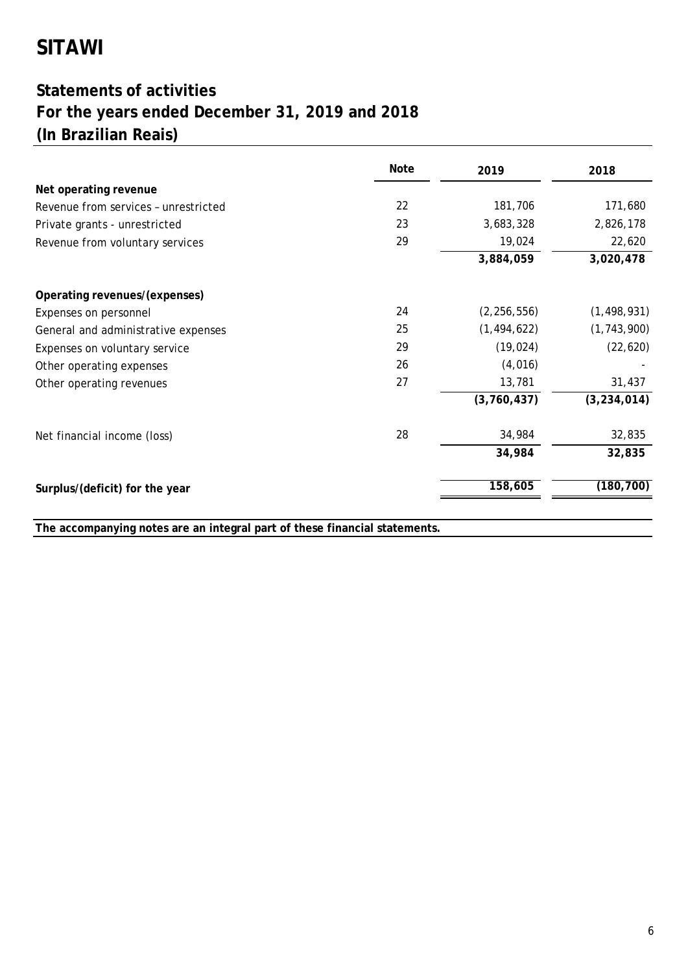## **Statements of activities For the years ended December 31, 2019 and 2018 (In Brazilian Reais)**

|                                      | <b>Note</b> | 2019          | 2018          |
|--------------------------------------|-------------|---------------|---------------|
| Net operating revenue                |             |               |               |
| Revenue from services - unrestricted | 22          | 181,706       | 171,680       |
| Private grants - unrestricted        | 23          | 3,683,328     | 2,826,178     |
| Revenue from voluntary services      | 29          | 19,024        | 22,620        |
|                                      |             | 3,884,059     | 3,020,478     |
| Operating revenues/(expenses)        |             |               |               |
| Expenses on personnel                | 24          | (2, 256, 556) | (1, 498, 931) |
| General and administrative expenses  | 25          | (1, 494, 622) | (1, 743, 900) |
| Expenses on voluntary service        | 29          | (19, 024)     | (22, 620)     |
| Other operating expenses             | 26          | (4,016)       |               |
| Other operating revenues             | 27          | 13,781        | 31,437        |
|                                      |             | (3, 760, 437) | (3, 234, 014) |
| Net financial income (loss)          | 28          | 34,984        | 32,835        |
|                                      |             | 34,984        | 32,835        |
| Surplus/(deficit) for the year       |             | 158,605       | (180, 700)    |
|                                      |             |               |               |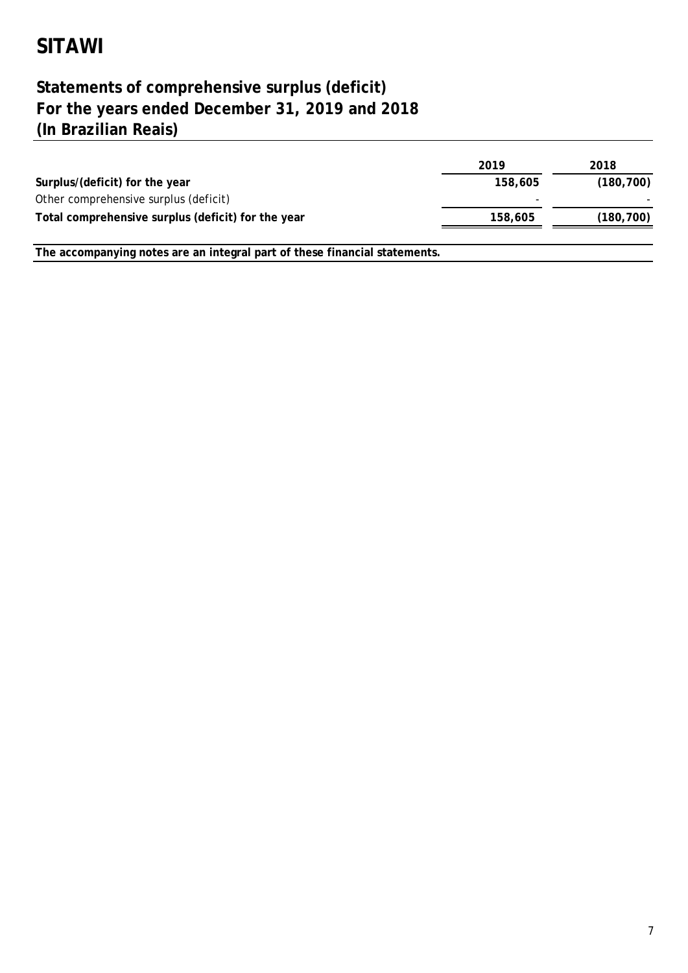### **For the years ended December 31, 2019 and 2018 (In Brazilian Reais) Statements of comprehensive surplus (deficit)**

|                                                    | 2019    | 2018       |
|----------------------------------------------------|---------|------------|
| Surplus/(deficit) for the year                     | 158,605 | (180, 700) |
| Other comprehensive surplus (deficit)              |         |            |
| Total comprehensive surplus (deficit) for the year | 158,605 | (180,700)  |
|                                                    |         |            |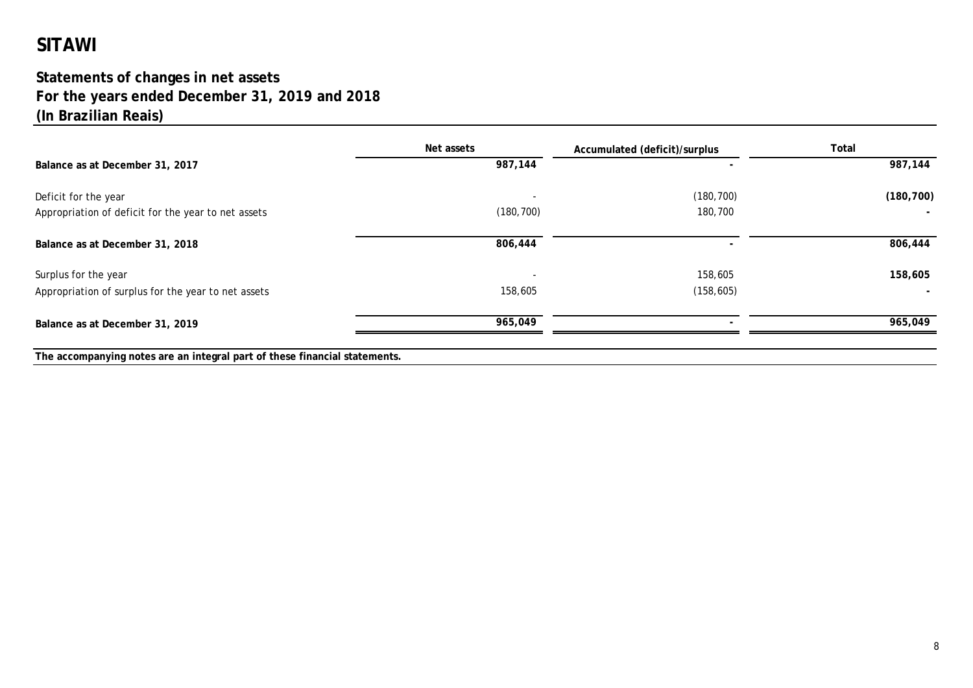### **Statements of changes in net assets For the years ended December 31, 2019 and 2018 (In Brazilian Reais)**

|                                                                            | Net assets | Accumulated (deficit)/surplus | Total      |
|----------------------------------------------------------------------------|------------|-------------------------------|------------|
| Balance as at December 31, 2017                                            | 987,144    |                               | 987,144    |
| Deficit for the year                                                       |            | (180, 700)                    | (180, 700) |
| Appropriation of deficit for the year to net assets                        | (180, 700) | 180,700                       | $\sim$     |
| Balance as at December 31, 2018                                            | 806,444    |                               | 806,444    |
| Surplus for the year                                                       |            | 158,605                       | 158,605    |
| Appropriation of surplus for the year to net assets                        | 158,605    | (158, 605)                    |            |
| Balance as at December 31, 2019                                            | 965,049    |                               | 965,049    |
| The accompanying notes are an integral part of these financial statements. |            |                               |            |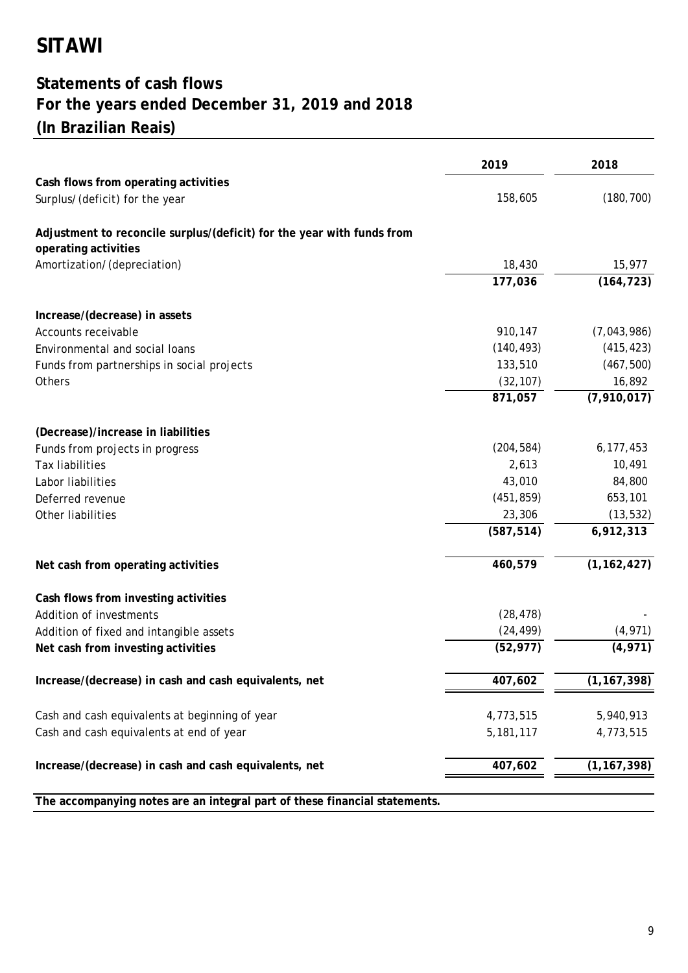## **Statements of cash flows For the years ended December 31, 2019 and 2018 (In Brazilian Reais)**

|                                                                                                | 2019       | 2018          |
|------------------------------------------------------------------------------------------------|------------|---------------|
| Cash flows from operating activities                                                           |            |               |
| Surplus/(deficit) for the year                                                                 | 158,605    | (180, 700)    |
| Adjustment to reconcile surplus/(deficit) for the year with funds from<br>operating activities |            |               |
| Amortization/(depreciation)                                                                    | 18,430     | 15,977        |
|                                                                                                | 177,036    | (164, 723)    |
| Increase/(decrease) in assets                                                                  |            |               |
| Accounts receivable                                                                            | 910,147    | (7,043,986)   |
| Environmental and social loans                                                                 | (140, 493) | (415, 423)    |
| Funds from partnerships in social projects                                                     | 133,510    | (467, 500)    |
| Others                                                                                         | (32, 107)  | 16,892        |
|                                                                                                | 871,057    | (7,910,017)   |
| (Decrease)/increase in liabilities                                                             |            |               |
| Funds from projects in progress                                                                | (204, 584) | 6, 177, 453   |
| <b>Tax liabilities</b>                                                                         | 2,613      | 10,491        |
| Labor liabilities                                                                              | 43,010     | 84,800        |
| Deferred revenue                                                                               | (451, 859) | 653,101       |
| Other liabilities                                                                              | 23,306     | (13, 532)     |
|                                                                                                | (587, 514) | 6,912,313     |
| Net cash from operating activities                                                             | 460,579    | (1, 162, 427) |
| Cash flows from investing activities                                                           |            |               |
| Addition of investments                                                                        | (28, 478)  |               |
| Addition of fixed and intangible assets                                                        | (24, 499)  | (4, 971)      |
| Net cash from investing activities                                                             | (52, 977)  | (4, 971)      |
| Increase/(decrease) in cash and cash equivalents, net                                          | 407,602    | (1, 167, 398) |
| Cash and cash equivalents at beginning of year                                                 | 4,773,515  | 5,940,913     |
| Cash and cash equivalents at end of year                                                       | 5,181,117  | 4,773,515     |
| Increase/(decrease) in cash and cash equivalents, net                                          | 407,602    | (1, 167, 398) |
|                                                                                                |            |               |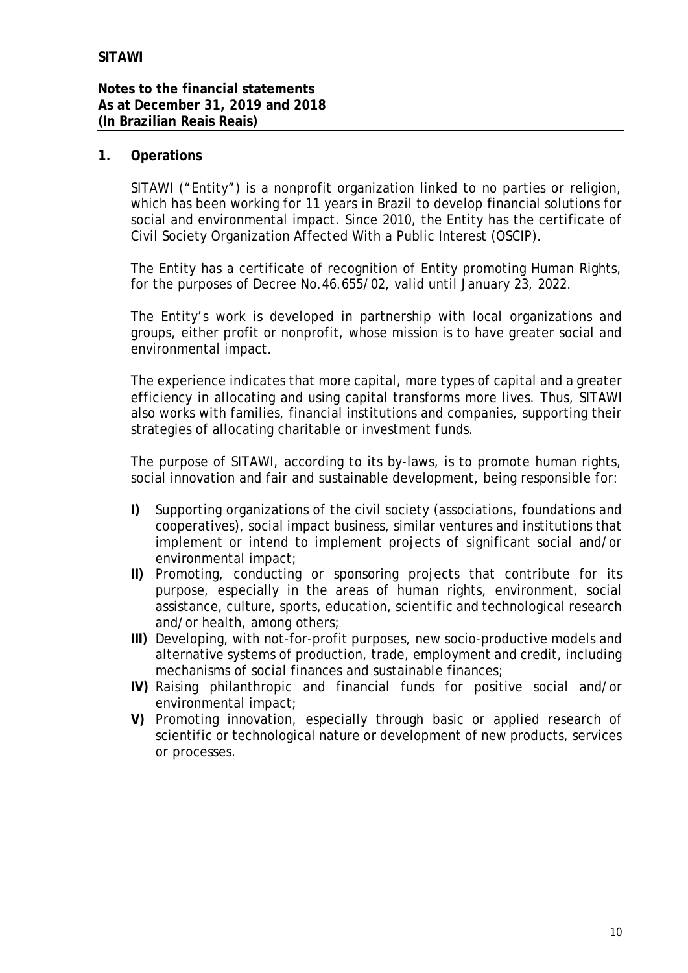#### **1. Operations**

SITAWI ("Entity") is a nonprofit organization linked to no parties or religion, which has been working for 11 years in Brazil to develop financial solutions for social and environmental impact. Since 2010, the Entity has the certificate of Civil Society Organization Affected With a Public Interest (OSCIP).

The Entity has a certificate of recognition of Entity promoting Human Rights, for the purposes of Decree No.46.655/02, valid until January 23, 2022.

The Entity's work is developed in partnership with local organizations and groups, either profit or nonprofit, whose mission is to have greater social and environmental impact.

The experience indicates that more capital, more types of capital and a greater efficiency in allocating and using capital transforms more lives. Thus, SITAWI also works with families, financial institutions and companies, supporting their strategies of allocating charitable or investment funds.

The purpose of SITAWI, according to its by-laws, is to promote human rights, social innovation and fair and sustainable development, being responsible for:

- **I)** Supporting organizations of the civil society (associations, foundations and cooperatives), social impact business, similar ventures and institutions that implement or intend to implement projects of significant social and/or environmental impact;
- **II)** Promoting, conducting or sponsoring projects that contribute for its purpose, especially in the areas of human rights, environment, social assistance, culture, sports, education, scientific and technological research and/or health, among others;
- **III)** Developing, with not-for-profit purposes, new socio-productive models and alternative systems of production, trade, employment and credit, including mechanisms of social finances and sustainable finances;
- **IV)** Raising philanthropic and financial funds for positive social and/or environmental impact;
- **V)** Promoting innovation, especially through basic or applied research of scientific or technological nature or development of new products, services or processes.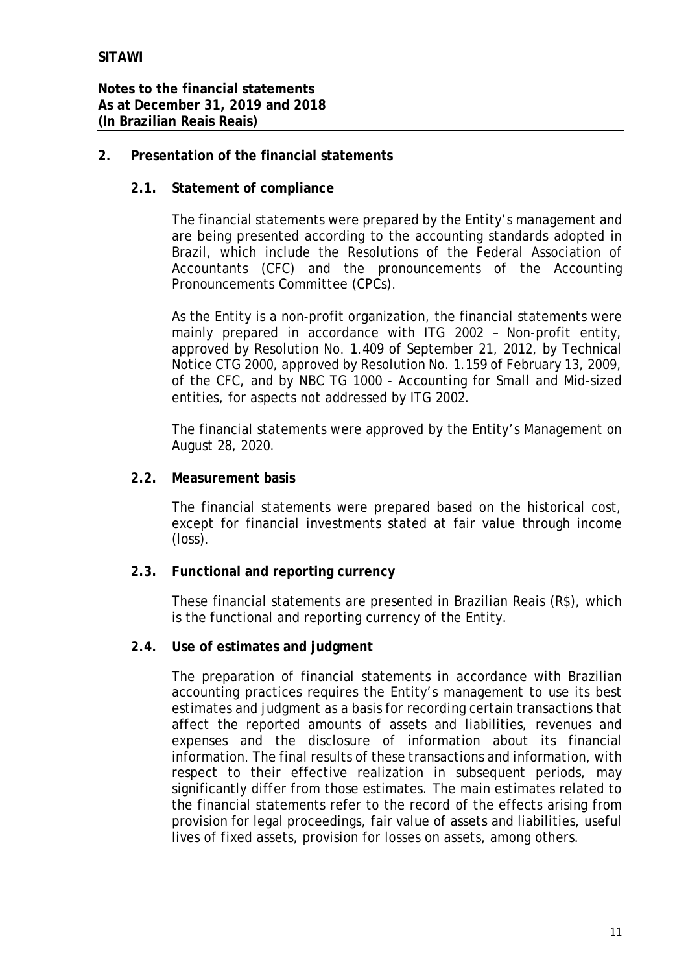**Notes to the financial statements As at December 31, 2019 and 2018 (In Brazilian Reais Reais)**

- **2. Presentation of the financial statements**
	- **2.1. Statement of compliance**

The financial statements were prepared by the Entity's management and are being presented according to the accounting standards adopted in Brazil, which include the Resolutions of the Federal Association of Accountants (CFC) and the pronouncements of the Accounting Pronouncements Committee (CPCs).

As the Entity is a non-profit organization, the financial statements were mainly prepared in accordance with ITG 2002 – Non-profit entity, approved by Resolution No. 1.409 of September 21, 2012, by Technical Notice CTG 2000, approved by Resolution No. 1.159 of February 13, 2009, of the CFC, and by NBC TG 1000 - Accounting for Small and Mid-sized entities, for aspects not addressed by ITG 2002.

The financial statements were approved by the Entity's Management on August 28, 2020.

**2.2. Measurement basis**

The financial statements were prepared based on the historical cost, except for financial investments stated at fair value through income (loss).

**2.3. Functional and reporting currency**

These financial statements are presented in Brazilian Reais (R\$), which is the functional and reporting currency of the Entity.

**2.4. Use of estimates and judgment**

The preparation of financial statements in accordance with Brazilian accounting practices requires the Entity's management to use its best estimates and judgment as a basis for recording certain transactions that affect the reported amounts of assets and liabilities, revenues and expenses and the disclosure of information about its financial information. The final results of these transactions and information, with respect to their effective realization in subsequent periods, may significantly differ from those estimates. The main estimates related to the financial statements refer to the record of the effects arising from provision for legal proceedings, fair value of assets and liabilities, useful lives of fixed assets, provision for losses on assets, among others.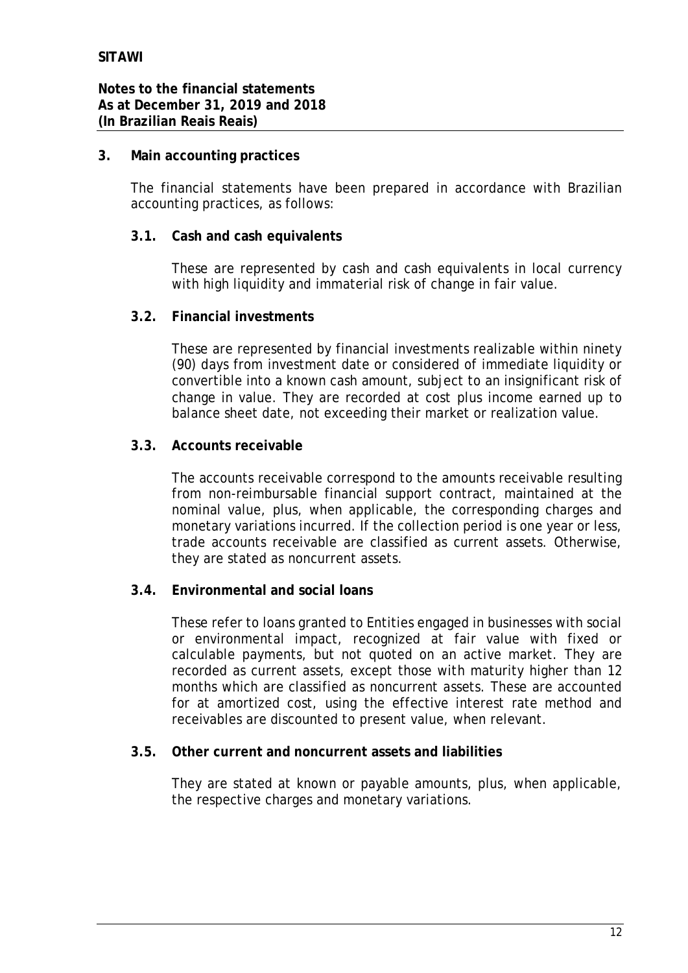**3. Main accounting practices**

The financial statements have been prepared in accordance with Brazilian accounting practices, as follows:

**3.1. Cash and cash equivalents**

These are represented by cash and cash equivalents in local currency with high liquidity and immaterial risk of change in fair value.

**3.2. Financial investments**

These are represented by financial investments realizable within ninety (90) days from investment date or considered of immediate liquidity or convertible into a known cash amount, subject to an insignificant risk of change in value. They are recorded at cost plus income earned up to balance sheet date, not exceeding their market or realization value.

**3.3. Accounts receivable**

The accounts receivable correspond to the amounts receivable resulting from non-reimbursable financial support contract, maintained at the nominal value, plus, when applicable, the corresponding charges and monetary variations incurred. If the collection period is one year or less, trade accounts receivable are classified as current assets. Otherwise, they are stated as noncurrent assets.

**3.4. Environmental and social loans**

These refer to loans granted to Entities engaged in businesses with social or environmental impact, recognized at fair value with fixed or calculable payments, but not quoted on an active market. They are recorded as current assets, except those with maturity higher than 12 months which are classified as noncurrent assets. These are accounted for at amortized cost, using the effective interest rate method and receivables are discounted to present value, when relevant.

**3.5. Other current and noncurrent assets and liabilities**

They are stated at known or payable amounts, plus, when applicable, the respective charges and monetary variations.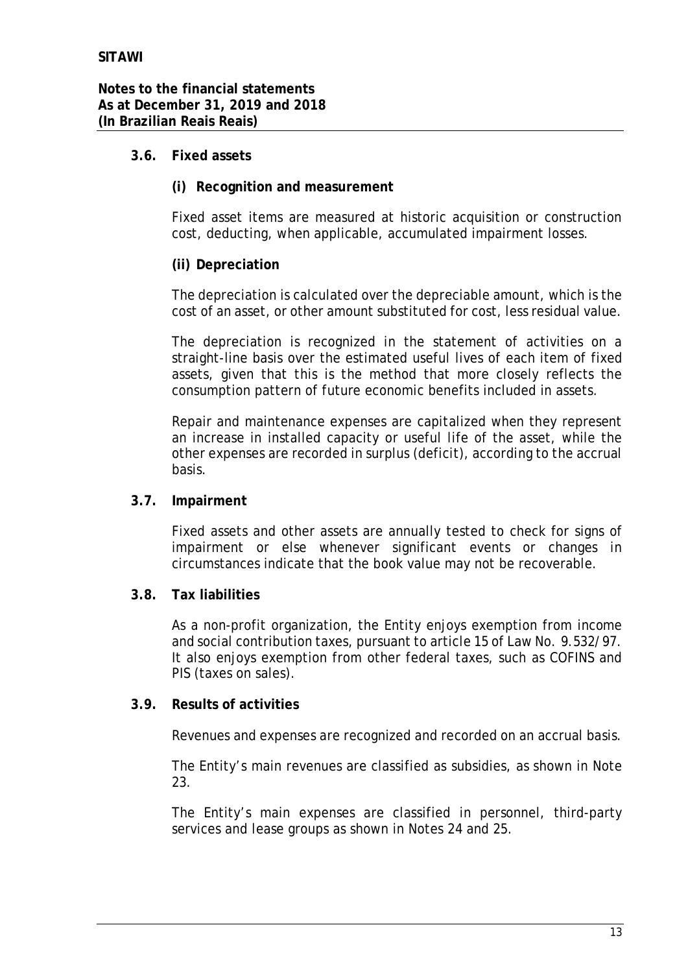- **3.6. Fixed assets**
	- **(i) Recognition and measurement**

Fixed asset items are measured at historic acquisition or construction cost, deducting, when applicable, accumulated impairment losses.

**(ii) Depreciation**

The depreciation is calculated over the depreciable amount, which is the cost of an asset, or other amount substituted for cost, less residual value.

The depreciation is recognized in the statement of activities on a straight-line basis over the estimated useful lives of each item of fixed assets, given that this is the method that more closely reflects the consumption pattern of future economic benefits included in assets.

Repair and maintenance expenses are capitalized when they represent an increase in installed capacity or useful life of the asset, while the other expenses are recorded in surplus (deficit), according to the accrual basis.

**3.7. Impairment**

Fixed assets and other assets are annually tested to check for signs of impairment or else whenever significant events or changes in circumstances indicate that the book value may not be recoverable.

**3.8. Tax liabilities**

As a non-profit organization, the Entity enjoys exemption from income and social contribution taxes, pursuant to article 15 of Law No. 9.532/97. It also enjoys exemption from other federal taxes, such as COFINS and PIS (taxes on sales).

**3.9. Results of activities**

Revenues and expenses are recognized and recorded on an accrual basis.

The Entity's main revenues are classified as subsidies, as shown in Note 23.

The Entity's main expenses are classified in personnel, third-party services and lease groups as shown in Notes 24 and 25.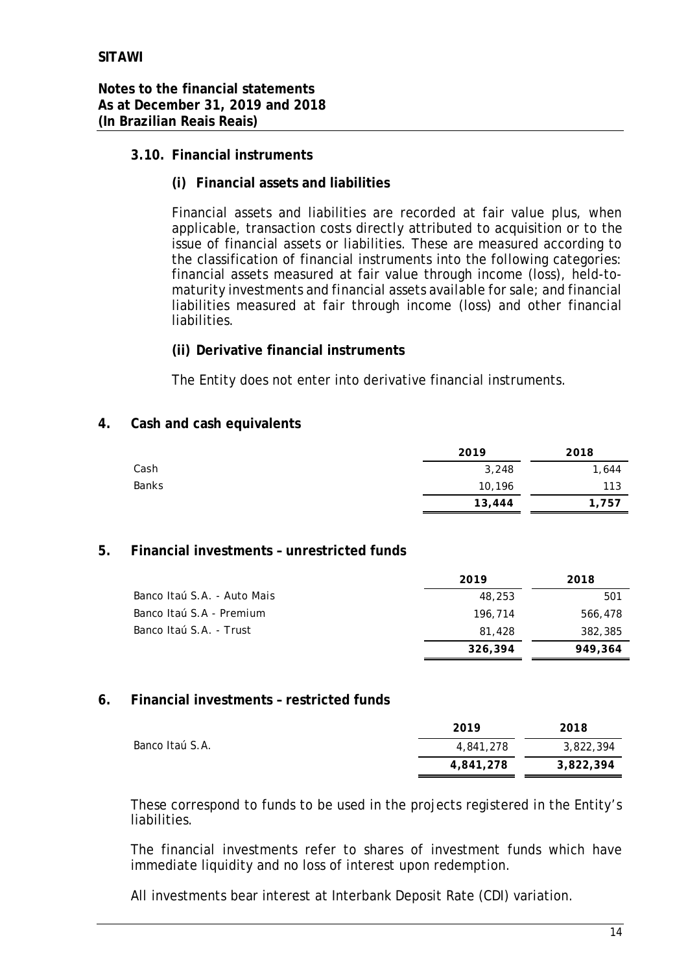#### **Notes to the financial statements As at December 31, 2019 and 2018 (In Brazilian Reais Reais)**

#### **3.10. Financial instruments**

**(i) Financial assets and liabilities**

Financial assets and liabilities are recorded at fair value plus, when applicable, transaction costs directly attributed to acquisition or to the issue of financial assets or liabilities. These are measured according to the classification of financial instruments into the following categories: financial assets measured at fair value through income (loss), held-tomaturity investments and financial assets available for sale; and financial liabilities measured at fair through income (loss) and other financial liabilities.

**(ii) Derivative financial instruments**

The Entity does not enter into derivative financial instruments.

#### **4. Cash and cash equivalents**

|              | 2019   | 2018  |
|--------------|--------|-------|
| Cash         | 3,248  | 1,644 |
| <b>Banks</b> | 10,196 | 113   |
|              | 13,444 | 1,757 |

#### **5. Financial investments – unrestricted funds**

|                             | 2019    | 2018    |
|-----------------------------|---------|---------|
| Banco Itaú S.A. - Auto Mais | 48,253  | 501     |
| Banco Itaú S.A - Premium    | 196.714 | 566,478 |
| Banco Itaú S.A. - Trust     | 81,428  | 382,385 |
|                             | 326,394 | 949.364 |

#### **6. Financial investments – restricted funds**

|                 | 2019      | 2018      |
|-----------------|-----------|-----------|
| Banco Itaú S.A. | 4,841,278 | 3,822,394 |
|                 | 4,841,278 | 3,822,394 |

These correspond to funds to be used in the projects registered in the Entity's liabilities.

The financial investments refer to shares of investment funds which have immediate liquidity and no loss of interest upon redemption.

All investments bear interest at Interbank Deposit Rate (CDI) variation.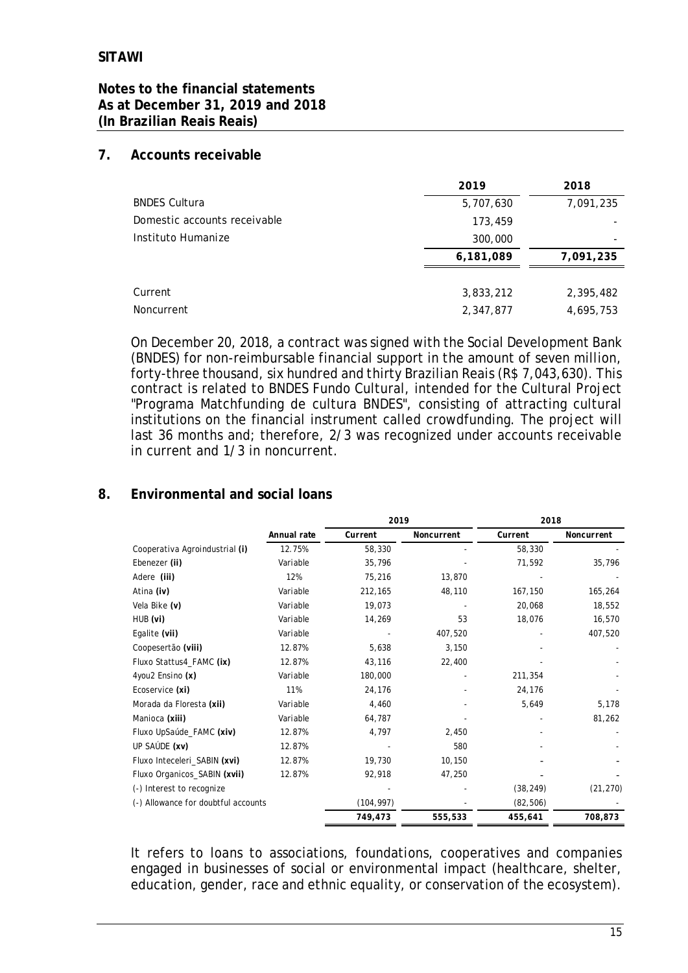#### **7. Accounts receivable**

|                              | 2019      | 2018      |
|------------------------------|-----------|-----------|
| <b>BNDES Cultura</b>         | 5,707,630 | 7,091,235 |
| Domestic accounts receivable | 173,459   |           |
| Instituto Humanize           | 300,000   |           |
|                              | 6,181,089 | 7,091,235 |
|                              |           |           |
| Current                      | 3,833,212 | 2,395,482 |
| Noncurrent                   | 2,347,877 | 4,695,753 |

On December 20, 2018, a contract was signed with the Social Development Bank (BNDES) for non-reimbursable financial support in the amount of seven million, forty-three thousand, six hundred and thirty Brazilian Reais (R\$ 7,043,630). This contract is related to BNDES Fundo Cultural, intended for the Cultural Project "Programa Matchfunding de cultura BNDES", consisting of attracting cultural institutions on the financial instrument called crowdfunding. The project will last 36 months and; therefore, 2/3 was recognized under accounts receivable in current and 1/3 in noncurrent.

### **8. Environmental and social loans**

|                                     |             | 2019       |            | 2018      |            |
|-------------------------------------|-------------|------------|------------|-----------|------------|
|                                     | Annual rate | Current    | Noncurrent | Current   | Noncurrent |
| Cooperativa Agroindustrial (i)      | 12.75%      | 58,330     |            | 58,330    |            |
| Ebenezer (ii)                       | Variable    | 35,796     |            | 71,592    | 35,796     |
| Adere (iii)                         | 12%         | 75,216     | 13,870     |           |            |
| Atina (iv)                          | Variable    | 212,165    | 48,110     | 167,150   | 165,264    |
| Vela Bike (v)                       | Variable    | 19,073     |            | 20,068    | 18,552     |
| HUB (vi)                            | Variable    | 14,269     | 53         | 18,076    | 16,570     |
| Egalite (vii)                       | Variable    |            | 407,520    |           | 407,520    |
| Coopesertão (viii)                  | 12.87%      | 5,638      | 3,150      |           |            |
| Fluxo Stattus4_FAMC (ix)            | 12.87%      | 43,116     | 22,400     |           |            |
| 4you2 Ensino (x)                    | Variable    | 180,000    |            | 211,354   |            |
| Ecoservice (xi)                     | 11%         | 24,176     |            | 24,176    |            |
| Morada da Floresta (xii)            | Variable    | 4,460      |            | 5,649     | 5,178      |
| Manioca (xiii)                      | Variable    | 64,787     |            |           | 81,262     |
| Fluxo UpSaúde_FAMC (xiv)            | 12.87%      | 4,797      | 2,450      |           |            |
| UP SAÚDE (xv)                       | 12.87%      |            | 580        |           |            |
| Fluxo Inteceleri_SABIN (xvi)        | 12.87%      | 19,730     | 10,150     |           |            |
| Fluxo Organicos_SABIN (xvii)        | 12.87%      | 92,918     | 47,250     |           |            |
| (-) Interest to recognize           |             |            |            | (38, 249) | (21, 270)  |
| (-) Allowance for doubtful accounts |             | (104, 997) |            | (82, 506) |            |
|                                     |             | 749,473    | 555,533    | 455,641   | 708,873    |

It refers to loans to associations, foundations, cooperatives and companies engaged in businesses of social or environmental impact (healthcare, shelter, education, gender, race and ethnic equality, or conservation of the ecosystem).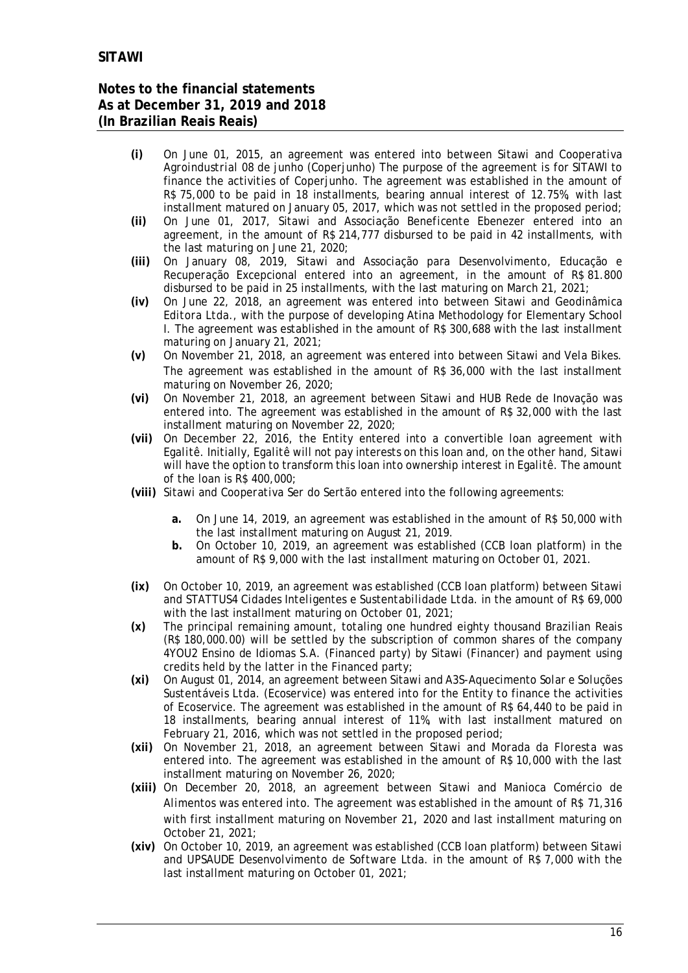- **(i)** On June 01, 2015, an agreement was entered into between Sitawi and *Cooperativa Agroindustrial 08 de junho (Coperjunho*) The purpose of the agreement is for SITAWI to finance the activities of *Coperjunho*. The agreement was established in the amount of R\$ 75,000 to be paid in 18 installments, bearing annual interest of 12.75%, with last installment matured on January 05, 2017, which was not settled in the proposed period;
- **(ii)** On June 01, 2017, Sitawi and *Associação Beneficente Ebenezer* entered into an agreement, in the amount of R\$ 214,777 disbursed to be paid in 42 installments, with the last maturing on June 21, 2020;
- **(iii)** On January 08, 2019, Sitawi and *Associação para Desenvolvimento, Educação e Recuperação Excepcional* entered into an agreement, in the amount of R\$ 81.800 disbursed to be paid in 25 installments, with the last maturing on March 21, 2021;
- **(iv)** On June 22, 2018, an agreement was entered into between Sitawi and *Geodinâmica Editora Ltda.*, with the purpose of developing Atina Methodology for Elementary School I. The agreement was established in the amount of R\$ 300,688 with the last installment maturing on January 21, 2021;
- **(v)** On November 21, 2018, an agreement was entered into between Sitawi and *Vela Bikes*. The agreement was established in the amount of R\$ 36,000 with the last installment maturing on November 26, 2020;
- **(vi)** On November 21, 2018, an agreement between Sitawi and *HUB Rede de Inovação* was entered into. The agreement was established in the amount of R\$ 32,000 with the last installment maturing on November 22, 2020;
- **(vii)** On December 22, 2016, the Entity entered into a convertible loan agreement with *Egalitê*. Initially, *Egalitê* will not pay interests on this loan and, on the other hand, Sitawi will have the option to transform this loan into ownership interest in *Egalitê*. The amount of the loan is R\$ 400,000;
- **(viii)** Sitawi and *Cooperativa Ser do Sertão* entered into the following agreements:
	- **a.** On June 14, 2019, an agreement was established in the amount of R\$ 50,000 with the last installment maturing on August 21, 2019.
	- **b.** On October 10, 2019, an agreement was established (CCB loan platform) in the amount of R\$ 9,000 with the last installment maturing on October 01, 2021.
- **(ix)** On October 10, 2019, an agreement was established (CCB loan platform) between Sitawi and *STATTUS4 Cidades Inteligentes e Sustentabilidade Ltda.* in the amount of R\$ 69,000 with the last installment maturing on October 01, 2021;
- **(x)** The principal remaining amount, totaling one hundred eighty thousand Brazilian Reais (R\$ 180,000.00) will be settled by the subscription of common shares of the company *4YOU2 Ensino de Idiomas S.A.* (Financed party) by Sitawi (Financer) and payment using credits held by the latter in the Financed party;
- **(xi)** On August 01, 2014, an agreement between Sitawi and *A3S-Aquecimento Solar e Soluções Sustentáveis Ltda. (Ecoservice)* was entered into for the Entity to finance the activities of Ecoservice. The agreement was established in the amount of R\$ 64,440 to be paid in 18 installments, bearing annual interest of 11%, with last installment matured on February 21, 2016, which was not settled in the proposed period;
- **(xii)** On November 21, 2018, an agreement between Sitawi and *Morada da Floresta* was entered into. The agreement was established in the amount of R\$ 10,000 with the last installment maturing on November 26, 2020;
- **(xiii)** On December 20, 2018, an agreement between Sitawi and *Manioca Comércio de Alimentos* was entered into. The agreement was established in the amount of R\$ 71,316 with first installment maturing on November 21, 2020 and last installment maturing on October 21, 2021;
- **(xiv)** On October 10, 2019, an agreement was established (CCB loan platform) between Sitawi and *UPSAUDE Desenvolvimento de Software Ltda.* in the amount of R\$ 7,000 with the last installment maturing on October 01, 2021;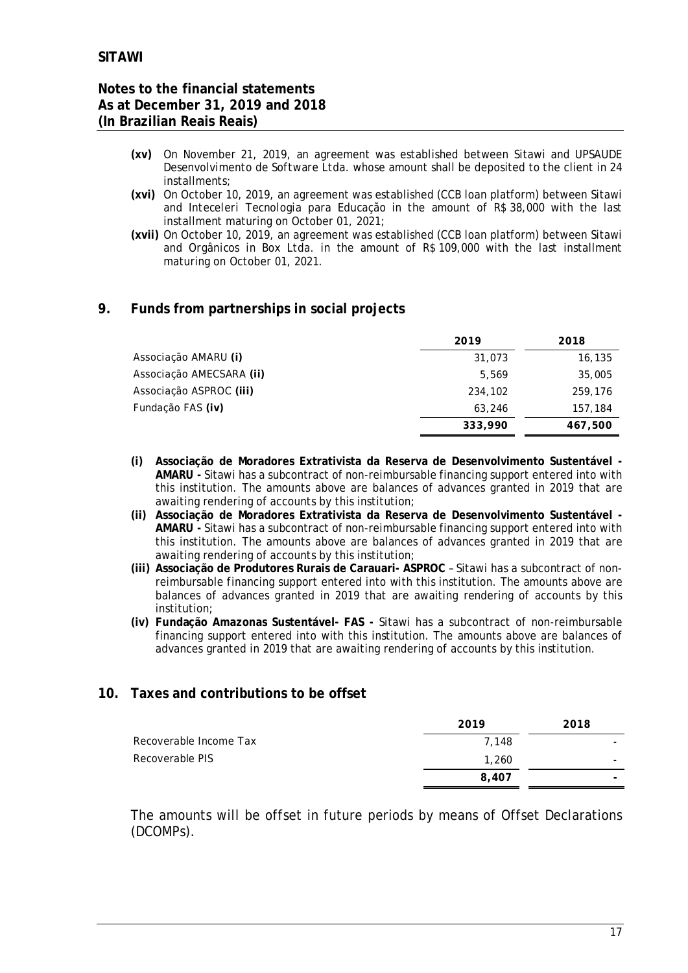- **(xv)** On November 21, 2019, an agreement was established between Sitawi and *UPSAUDE Desenvolvimento de Software Ltda.* whose amount shall be deposited to the client in 24 installments;
- **(xvi)** On October 10, 2019, an agreement was established (CCB loan platform) between Sitawi and *Inteceleri Tecnologia para Educação* in the amount of R\$ 38,000 with the last installment maturing on October 01, 2021;
- **(xvii)** On October 10, 2019, an agreement was established (CCB loan platform) between Sitawi and *Orgânicos in Box Ltda.* in the amount of R\$ 109,000 with the last installment maturing on October 01, 2021.

#### **9. Funds from partnerships in social projects**

|                          | 2019    | 2018    |
|--------------------------|---------|---------|
| Associação AMARU (i)     | 31,073  | 16,135  |
| Associação AMECSARA (ii) | 5.569   | 35,005  |
| Associação ASPROC (iii)  | 234,102 | 259,176 |
| Fundação FAS (iv)        | 63,246  | 157,184 |
|                          | 333,990 | 467,500 |

- **(i) Associação de Moradores Extrativista da Reserva de Desenvolvimento Sustentável - AMARU -** Sitawi has a subcontract of non-reimbursable financing support entered into with this institution. The amounts above are balances of advances granted in 2019 that are awaiting rendering of accounts by this institution;
- **(ii) Associação de Moradores Extrativista da Reserva de Desenvolvimento Sustentável - AMARU -** Sitawi has a subcontract of non-reimbursable financing support entered into with this institution. The amounts above are balances of advances granted in 2019 that are awaiting rendering of accounts by this institution;
- **(iii) Associação de Produtores Rurais de Carauari- ASPROC** Sitawi has a subcontract of nonreimbursable financing support entered into with this institution. The amounts above are balances of advances granted in 2019 that are awaiting rendering of accounts by this institution;
- **(iv) Fundação Amazonas Sustentável- FAS -** Sitawi has a subcontract of non-reimbursable financing support entered into with this institution. The amounts above are balances of advances granted in 2019 that are awaiting rendering of accounts by this institution.

#### **10. Taxes and contributions to be offset**

|                        | 2019  | 2018 |
|------------------------|-------|------|
| Recoverable Income Tax | 7.148 |      |
| Recoverable PIS        | 1,260 | -    |
|                        | 8,407 | -    |

The amounts will be offset in future periods by means of Offset Declarations (DCOMPs).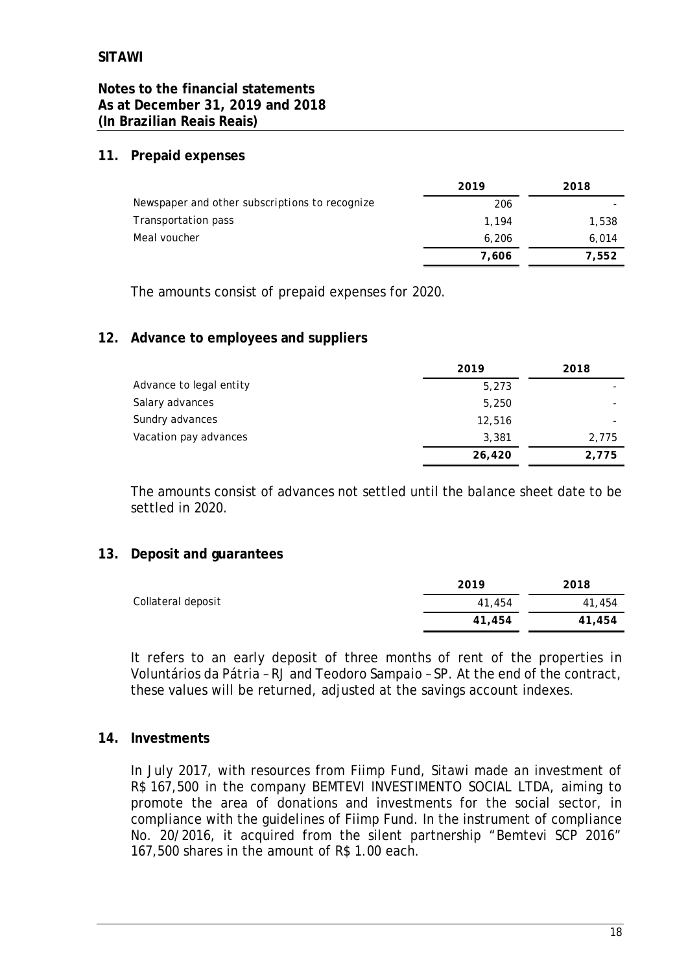#### **Notes to the financial statements As at December 31, 2019 and 2018 (In Brazilian Reais Reais)**

#### **11. Prepaid expenses**

|                                                | 2019  | 2018  |
|------------------------------------------------|-------|-------|
| Newspaper and other subscriptions to recognize | 206   |       |
| Transportation pass                            | 1.194 | 1,538 |
| Meal voucher                                   | 6,206 | 6,014 |
|                                                | 7,606 | 7,552 |

The amounts consist of prepaid expenses for 2020.

#### **12. Advance to employees and suppliers**

|                         | 2019   | 2018  |
|-------------------------|--------|-------|
| Advance to legal entity | 5,273  |       |
| Salary advances         | 5,250  |       |
| Sundry advances         | 12,516 |       |
| Vacation pay advances   | 3,381  | 2,775 |
|                         | 26,420 | 2,775 |

The amounts consist of advances not settled until the balance sheet date to be settled in 2020.

#### **13. Deposit and guarantees**

|                    | 2019   | 2018   |
|--------------------|--------|--------|
| Collateral deposit | 41,454 | 41,454 |
|                    | 41,454 | 41,454 |

It refers to an early deposit of three months of rent of the properties in Voluntários da Pátria – RJ and Teodoro Sampaio – SP. At the end of the contract, these values will be returned, adjusted at the savings account indexes.

#### **14. Investments**

In July 2017, with resources from Fiimp Fund, Sitawi made an investment of R\$ 167,500 in the company BEMTEVI INVESTIMENTO SOCIAL LTDA, aiming to promote the area of donations and investments for the social sector, in compliance with the guidelines of Fiimp Fund. In the instrument of compliance No. 20/2016, it acquired from the silent partnership "Bemtevi SCP 2016" 167,500 shares in the amount of R\$ 1.00 each.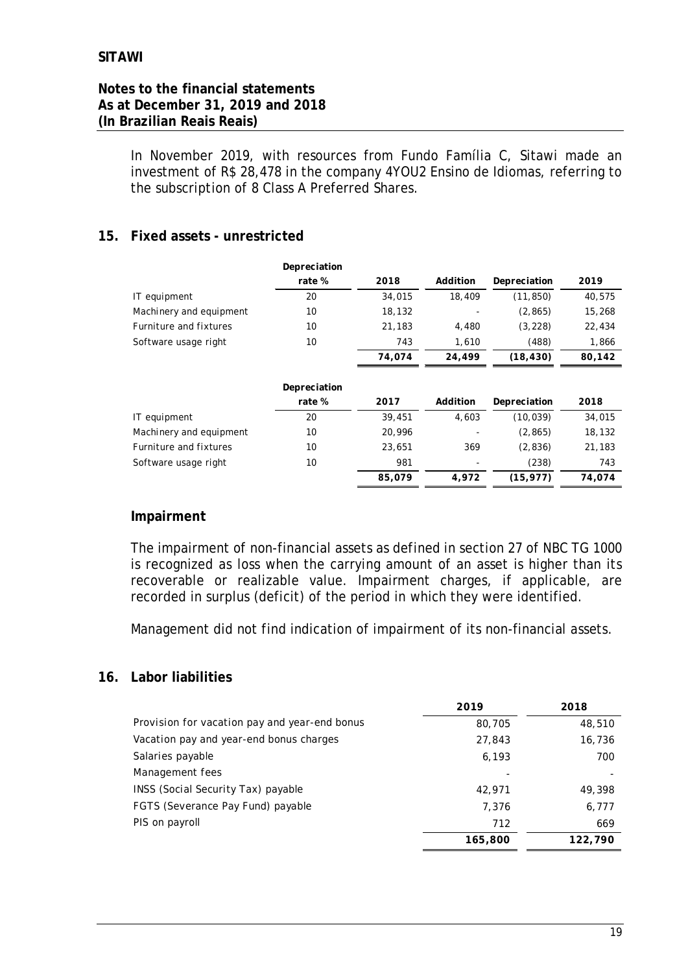In November 2019, with resources from Fundo Família C, Sitawi made an investment of R\$ 28,478 in the company 4YOU2 Ensino de Idiomas, referring to the subscription of 8 Class A Preferred Shares.

#### **15. Fixed assets - unrestricted**

|                         | Depreciation |        |          |              |        |
|-------------------------|--------------|--------|----------|--------------|--------|
|                         | rate%        | 2018   | Addition | Depreciation | 2019   |
| IT equipment            | 20           | 34,015 | 18,409   | (11, 850)    | 40,575 |
| Machinery and equipment | 10           | 18,132 |          | (2, 865)     | 15,268 |
| Furniture and fixtures  | 10           | 21,183 | 4,480    | (3, 228)     | 22,434 |
| Software usage right    | 10           | 743    | 1,610    | (488)        | 1,866  |
|                         |              | 74,074 | 24,499   | (18, 430)    | 80,142 |
|                         | Depreciation |        |          |              |        |
|                         | rate %       | 2017   | Addition | Depreciation | 2018   |
| IT equipment            | 20           | 39,451 | 4,603    | (10, 039)    | 34,015 |
| Machinery and equipment | 10           | 20,996 |          | (2, 865)     | 18,132 |
| Furniture and fixtures  | 10           | 23,651 | 369      | (2,836)      | 21,183 |
| Software usage right    | 10           | 981    |          | (238)        | 743    |
|                         |              | 85,079 | 4,972    | (15, 977)    | 74,074 |

#### **Impairment**

The impairment of non-financial assets as defined in section 27 of NBC TG 1000 is recognized as loss when the carrying amount of an asset is higher than its recoverable or realizable value. Impairment charges, if applicable, are recorded in surplus (deficit) of the period in which they were identified.

Management did not find indication of impairment of its non-financial assets.

#### **16. Labor liabilities**

|                                               | 2019    | 2018    |
|-----------------------------------------------|---------|---------|
| Provision for vacation pay and year-end bonus | 80,705  | 48,510  |
| Vacation pay and year-end bonus charges       | 27,843  | 16,736  |
| Salaries payable                              | 6.193   | 700     |
| Management fees                               |         |         |
| INSS (Social Security Tax) payable            | 42.971  | 49,398  |
| FGTS (Severance Pay Fund) payable             | 7.376   | 6,777   |
| PIS on payroll                                | 712     | 669     |
|                                               | 165,800 | 122,790 |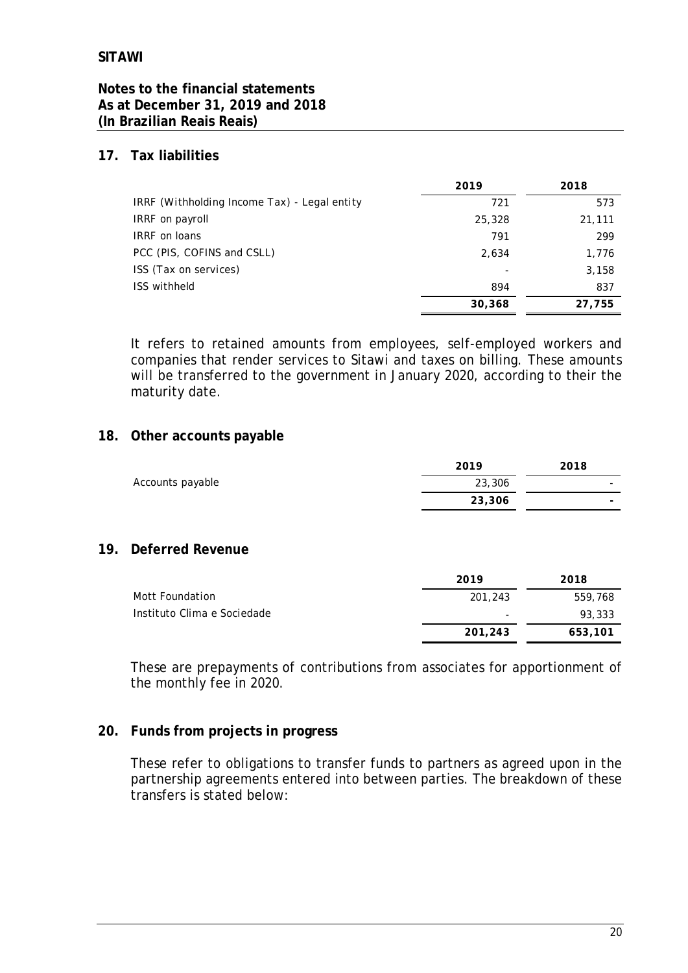#### **Notes to the financial statements As at December 31, 2019 and 2018 (In Brazilian Reais Reais)**

#### **17. Tax liabilities**

|                                              | 2019   | 2018   |
|----------------------------------------------|--------|--------|
| IRRF (Withholding Income Tax) - Legal entity | 721    | 573    |
| IRRF on payroll                              | 25,328 | 21,111 |
| IRRF on loans                                | 791    | 299    |
| PCC (PIS, COFINS and CSLL)                   | 2.634  | 1,776  |
| ISS (Tax on services)                        |        | 3,158  |
| <b>ISS withheld</b>                          | 894    | 837    |
|                                              | 30,368 | 27,755 |

It refers to retained amounts from employees, self-employed workers and companies that render services to Sitawi and taxes on billing. These amounts will be transferred to the government in January 2020, according to their the maturity date.

#### **18. Other accounts payable**

|                  | 2019   | 2018 |
|------------------|--------|------|
| Accounts payable | 23,306 | -    |
|                  | 23,306 | -    |
|                  |        |      |

**19. Deferred Revenue**

|                             | 2019                     | 2018    |
|-----------------------------|--------------------------|---------|
| Mott Foundation             | 201,243                  | 559,768 |
| Instituto Clima e Sociedade | $\overline{\phantom{0}}$ | 93,333  |
|                             | 201,243                  | 653,101 |

These are prepayments of contributions from associates for apportionment of the monthly fee in 2020.

#### **20. Funds from projects in progress**

These refer to obligations to transfer funds to partners as agreed upon in the partnership agreements entered into between parties. The breakdown of these transfers is stated below: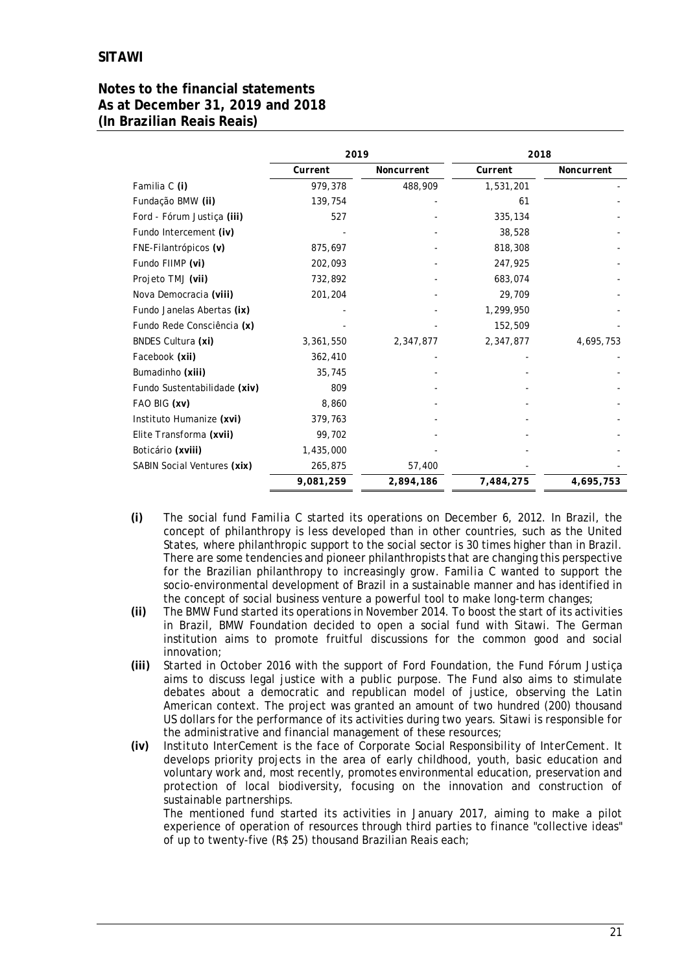|                              | 2019      |            | 2018      |            |
|------------------------------|-----------|------------|-----------|------------|
|                              | Current   | Noncurrent | Current   | Noncurrent |
| Familia C (i)                | 979,378   | 488,909    | 1,531,201 |            |
| Fundação BMW (ii)            | 139,754   |            | 61        |            |
| Ford - Fórum Justiça (iii)   | 527       |            | 335,134   |            |
| Fundo Intercement (iv)       |           |            | 38,528    |            |
| FNE-Filantrópicos (v)        | 875,697   |            | 818,308   |            |
| Fundo FIIMP (vi)             | 202,093   |            | 247,925   |            |
| Projeto TMJ (vii)            | 732,892   |            | 683,074   |            |
| Nova Democracia (viii)       | 201,204   |            | 29,709    |            |
| Fundo Janelas Abertas (ix)   |           |            | 1,299,950 |            |
| Fundo Rede Consciência (x)   |           |            | 152,509   |            |
| BNDES Cultura (xi)           | 3,361,550 | 2,347,877  | 2,347,877 | 4,695,753  |
| Facebook (xii)               | 362,410   |            |           |            |
| Bumadinho (xiii)             | 35,745    |            |           |            |
| Fundo Sustentabilidade (xiv) | 809       |            |           |            |
| FAO BIG (xv)                 | 8,860     |            |           |            |
| Instituto Humanize (xvi)     | 379,763   |            |           |            |
| Elite Transforma (xvii)      | 99,702    |            |           |            |
| Boticário (xviii)            | 1,435,000 |            |           |            |
| SABIN Social Ventures (xix)  | 265,875   | 57,400     |           |            |
|                              | 9,081,259 | 2,894,186  | 7,484,275 | 4,695,753  |

- **(i)** The social fund *Familia C* started its operations on December 6, 2012. In Brazil, the concept of philanthropy is less developed than in other countries, such as the United States, where philanthropic support to the social sector is 30 times higher than in Brazil. There are some tendencies and pioneer philanthropists that are changing this perspective for the Brazilian philanthropy to increasingly grow. *Familia C* wanted to support the socio-environmental development of Brazil in a sustainable manner and has identified in the concept of social business venture a powerful tool to make long-term changes;
- **(ii)** The BMW Fund started its operations in November 2014. To boost the start of its activities in Brazil, BMW Foundation decided to open a social fund with Sitawi. The German institution aims to promote fruitful discussions for the common good and social innovation;
- **(iii)** Started in October 2016 with the support of Ford Foundation, the Fund *Fórum Justiça* aims to discuss legal justice with a public purpose. The Fund also aims to stimulate debates about a democratic and republican model of justice, observing the Latin American context. The project was granted an amount of two hundred (200) thousand US dollars for the performance of its activities during two years. Sitawi is responsible for the administrative and financial management of these resources;
- **(iv)** *Instituto InterCement* is the face of Corporate Social Responsibility of *InterCement*. It develops priority projects in the area of early childhood, youth, basic education and voluntary work and, most recently, promotes environmental education, preservation and protection of local biodiversity, focusing on the innovation and construction of sustainable partnerships.

The mentioned fund started its activities in January 2017, aiming to make a pilot experience of operation of resources through third parties to finance "collective ideas" of up to twenty-five (R\$ 25) thousand Brazilian Reais each;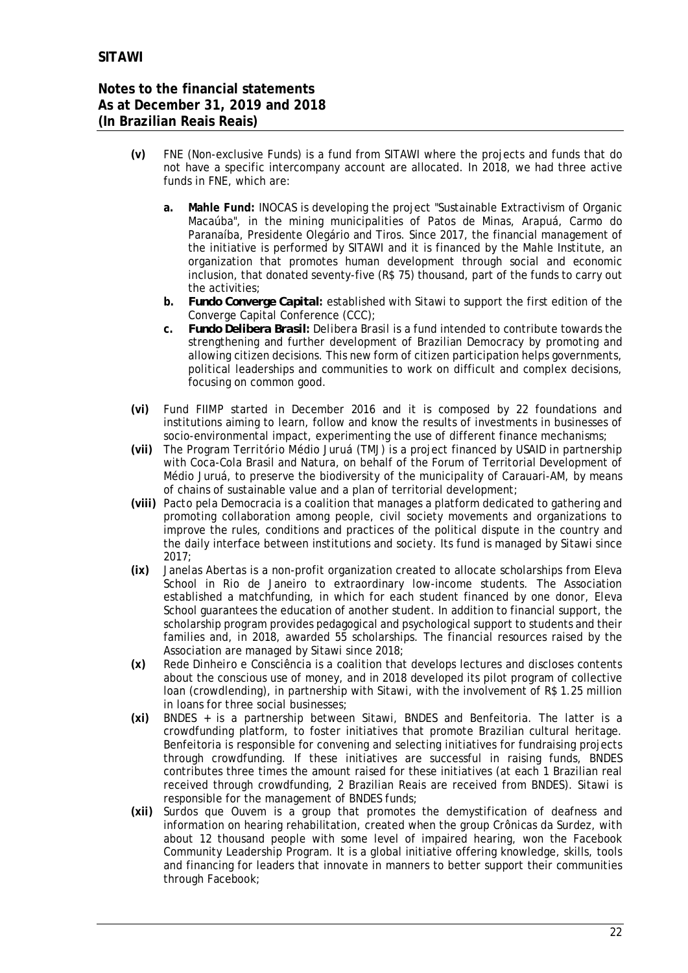- **(v)** FNE (Non-exclusive Funds) is a fund from SITAWI where the projects and funds that do not have a specific intercompany account are allocated. In 2018, we had three active funds in FNE, which are:
	- **a. Mahle Fund:** *INOCAS* is developing the project "Sustainable Extractivism of Organic Macaúba", in the mining municipalities of Patos de Minas, Arapuá, Carmo do Paranaíba, Presidente Olegário and Tiros. Since 2017, the financial management of the initiative is performed by SITAWI and it is financed by the Mahle Institute, an organization that promotes human development through social and economic inclusion, that donated seventy-five (R\$ 75) thousand, part of the funds to carry out the activities;
	- **b.** *Fundo Converge Capital***:** established with Sitawi to support the first edition of the Converge Capital Conference (CCC);
	- **c.** *Fundo Delibera Brasil***:** *Delibera Brasil* is a fund intended to contribute towards the strengthening and further development of Brazilian Democracy by promoting and allowing citizen decisions. This new form of citizen participation helps governments, political leaderships and communities to work on difficult and complex decisions, focusing on common good.
- **(vi)** *Fund FIIMP* started in December 2016 and it is composed by 22 foundations and institutions aiming to learn, follow and know the results of investments in businesses of socio-environmental impact, experimenting the use of different finance mechanisms;
- **(vii)** The Program *Território Médio Juruá* (TMJ) is a project financed by USAID in partnership with Coca-Cola Brasil and Natura, on behalf of the Forum of Territorial Development of Médio Juruá, to preserve the biodiversity of the municipality of Carauari-AM, by means of chains of sustainable value and a plan of territorial development;
- **(viii)** *Pacto pela Democracia* is a coalition that manages a platform dedicated to gathering and promoting collaboration among people, civil society movements and organizations to improve the rules, conditions and practices of the political dispute in the country and the daily interface between institutions and society. Its fund is managed by Sitawi since 2017;
- **(ix)** *Janelas Abertas* is a non-profit organization created to allocate scholarships from Eleva School in Rio de Janeiro to extraordinary low-income students. The Association established a matchfunding, in which for each student financed by one donor, *Eleva* School guarantees the education of another student. In addition to financial support, the scholarship program provides pedagogical and psychological support to students and their families and, in 2018, awarded 55 scholarships. The financial resources raised by the Association are managed by Sitawi since 2018;
- **(x)** *Rede Dinheiro e Consciência* is a coalition that develops lectures and discloses contents about the conscious use of money, and in 2018 developed its pilot program of collective loan (crowdlending), in partnership with Sitawi, with the involvement of R\$ 1.25 million in loans for three social businesses;
- **(xi)** BNDES + is a partnership between Sitawi, BNDES and Benfeitoria. The latter is a crowdfunding platform, to foster initiatives that promote Brazilian cultural heritage. Benfeitoria is responsible for convening and selecting initiatives for fundraising projects through crowdfunding. If these initiatives are successful in raising funds, BNDES contributes three times the amount raised for these initiatives (at each 1 Brazilian real received through crowdfunding, 2 Brazilian Reais are received from BNDES). Sitawi is responsible for the management of BNDES funds;
- **(xii)** *Surdos que Ouvem* is a group that promotes the demystification of deafness and information on hearing rehabilitation, created when the group *Crônicas da Surdez*, with about 12 thousand people with some level of impaired hearing, won the Facebook Community Leadership Program. It is a global initiative offering knowledge, skills, tools and financing for leaders that innovate in manners to better support their communities through Facebook;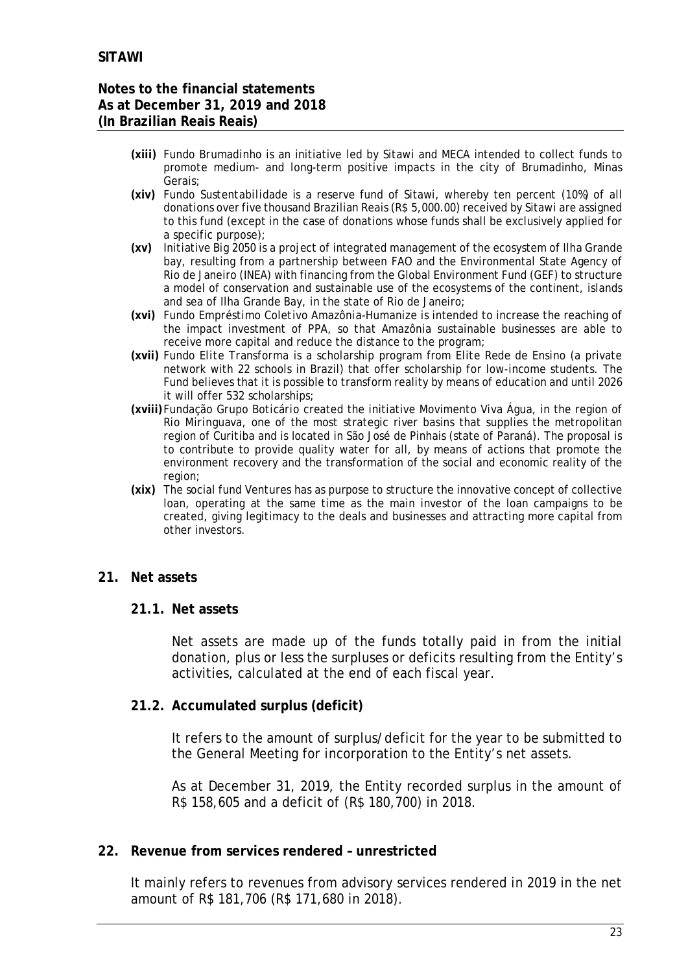- **(xiii)** *Fundo Brumadinho* is an initiative led by Sitawi and MECA intended to collect funds to promote medium- and long-term positive impacts in the city of Brumadinho, Minas Gerais;
- **(xiv)** *Fundo Sustentabilidade* is a reserve fund of Sitawi, whereby ten percent (10%) of all donations over five thousand Brazilian Reais (R\$ 5,000.00) received by Sitawi are assigned to this fund (except in the case of donations whose funds shall be exclusively applied for a specific purpose);
- **(xv)** Initiative *Big 2050* is a project of integrated management of the ecosystem of Ilha Grande bay, resulting from a partnership between FAO and the Environmental State Agency of Rio de Janeiro (INEA) with financing from the Global Environment Fund (GEF) to structure a model of conservation and sustainable use of the ecosystems of the continent, islands and sea of Ilha Grande Bay, in the state of Rio de Janeiro;
- **(xvi)** *Fundo Empréstimo Coletivo Amazônia-Humanize* is intended to increase the reaching of the impact investment of PPA, so that Amazônia sustainable businesses are able to receive more capital and reduce the distance to the program;
- **(xvii)** *Fundo Elite Transforma* is a scholarship program from *Elite Rede de Ensino* (a private network with 22 schools in Brazil) that offer scholarship for low-income students. The Fund believes that it is possible to transform reality by means of education and until 2026 it will offer 532 scholarships;
- **(xviii)***Fundação Grupo Boticário* created the initiative *Movimento Viva Água*, in the region of *Rio Miringuava*, one of the most strategic river basins that supplies the metropolitan region of Curitiba and is located in São José de Pinhais (state of Paraná). The proposal is to contribute to provide quality water for all, by means of actions that promote the environment recovery and the transformation of the social and economic reality of the region:
- **(xix)** The social fund *Ventures* has as purpose to structure the innovative concept of collective loan, operating at the same time as the main investor of the loan campaigns to be created, giving legitimacy to the deals and businesses and attracting more capital from other investors.

#### **21. Net assets**

**21.1. Net assets**

Net assets are made up of the funds totally paid in from the initial donation, plus or less the surpluses or deficits resulting from the Entity's activities, calculated at the end of each fiscal year.

**21.2. Accumulated surplus (deficit)**

It refers to the amount of surplus/deficit for the year to be submitted to the General Meeting for incorporation to the Entity's net assets.

As at December 31, 2019, the Entity recorded surplus in the amount of R\$ 158,605 and a deficit of (R\$ 180,700) in 2018.

**22. Revenue from services rendered – unrestricted**

It mainly refers to revenues from advisory services rendered in 2019 in the net amount of R\$ 181,706 (R\$ 171,680 in 2018).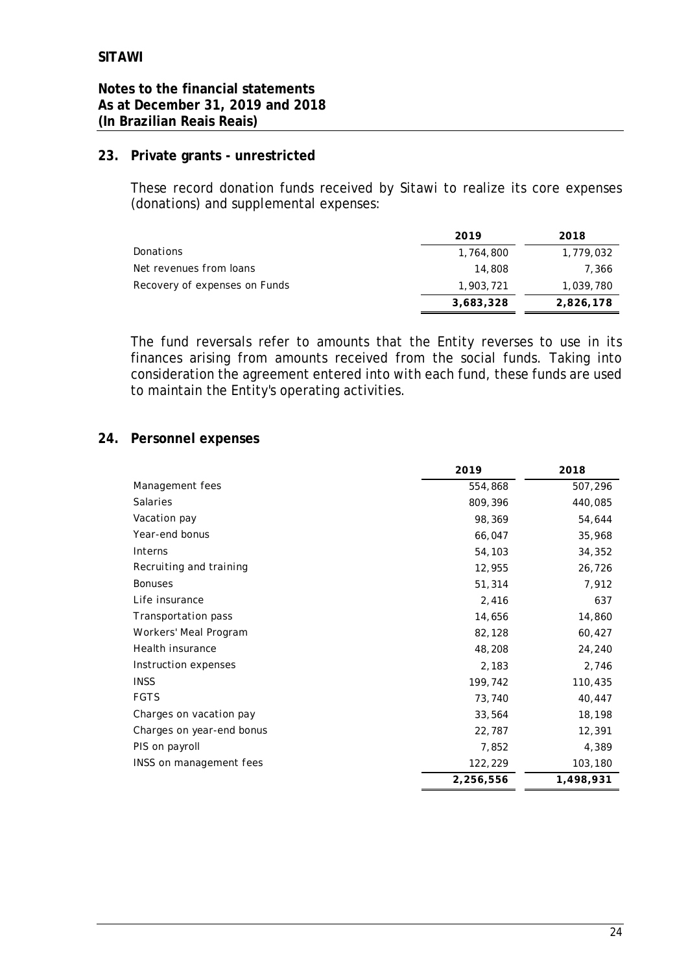#### **23. Private grants - unrestricted**

These record donation funds received by Sitawi to realize its core expenses (donations) and supplemental expenses:

|                               | 2019      | 2018      |
|-------------------------------|-----------|-----------|
| Donations                     | 1,764,800 | 1,779,032 |
| Net revenues from loans       | 14,808    | 7,366     |
| Recovery of expenses on Funds | 1,903,721 | 1,039,780 |
|                               | 3,683,328 | 2,826,178 |

The fund reversals refer to amounts that the Entity reverses to use in its finances arising from amounts received from the social funds. Taking into consideration the agreement entered into with each fund, these funds are used to maintain the Entity's operating activities.

#### **24. Personnel expenses**

|                           | 2019      | 2018      |
|---------------------------|-----------|-----------|
| Management fees           | 554,868   | 507,296   |
| Salaries                  | 809,396   | 440,085   |
| Vacation pay              | 98,369    | 54,644    |
| Year-end bonus            | 66,047    | 35,968    |
| Interns                   | 54,103    | 34,352    |
| Recruiting and training   | 12,955    | 26,726    |
| <b>Bonuses</b>            | 51,314    | 7,912     |
| Life insurance            | 2,416     | 637       |
| Transportation pass       | 14,656    | 14,860    |
| Workers' Meal Program     | 82,128    | 60,427    |
| Health insurance          | 48,208    | 24,240    |
| Instruction expenses      | 2,183     | 2,746     |
| <b>INSS</b>               | 199,742   | 110,435   |
| <b>FGTS</b>               | 73,740    | 40,447    |
| Charges on vacation pay   | 33,564    | 18,198    |
| Charges on year-end bonus | 22,787    | 12,391    |
| PIS on payroll            | 7,852     | 4,389     |
| INSS on management fees   | 122,229   | 103,180   |
|                           | 2,256,556 | 1,498,931 |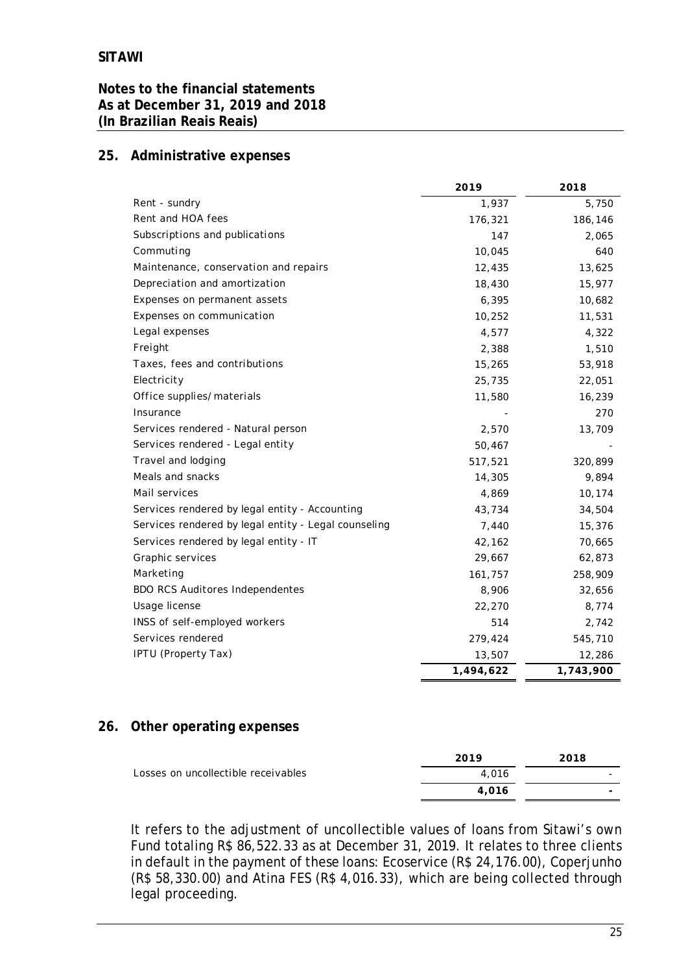#### **25. Administrative expenses**

|                                                      | 2019      | 2018      |
|------------------------------------------------------|-----------|-----------|
| Rent - sundry                                        | 1,937     | 5,750     |
| Rent and HOA fees                                    | 176,321   | 186,146   |
| Subscriptions and publications                       | 147       | 2,065     |
| Commuting                                            | 10,045    | 640       |
| Maintenance, conservation and repairs                | 12,435    | 13,625    |
| Depreciation and amortization                        | 18,430    | 15,977    |
| Expenses on permanent assets                         | 6,395     | 10,682    |
| Expenses on communication                            | 10,252    | 11,531    |
| Legal expenses                                       | 4,577     | 4,322     |
| Freight                                              | 2,388     | 1,510     |
| Taxes, fees and contributions                        | 15,265    | 53,918    |
| Electricity                                          | 25,735    | 22,051    |
| Office supplies/materials                            | 11,580    | 16,239    |
| Insurance                                            |           | 270       |
| Services rendered - Natural person                   | 2,570     | 13,709    |
| Services rendered - Legal entity                     | 50,467    |           |
| Travel and lodging                                   | 517,521   | 320,899   |
| Meals and snacks                                     | 14,305    | 9,894     |
| Mail services                                        | 4,869     | 10,174    |
| Services rendered by legal entity - Accounting       | 43,734    | 34,504    |
| Services rendered by legal entity - Legal counseling | 7,440     | 15,376    |
| Services rendered by legal entity - IT               | 42,162    | 70,665    |
| Graphic services                                     | 29,667    | 62,873    |
| Marketing                                            | 161,757   | 258,909   |
| <b>BDO RCS Auditores Independentes</b>               | 8,906     | 32,656    |
| Usage license                                        | 22,270    | 8,774     |
| INSS of self-employed workers                        | 514       | 2,742     |
| Services rendered                                    | 279,424   | 545,710   |
| IPTU (Property Tax)                                  | 13,507    | 12,286    |
|                                                      | 1,494,622 | 1,743,900 |

#### **26. Other operating expenses**

| Losses on uncollectible receivables | 2019  | 2018 |
|-------------------------------------|-------|------|
|                                     | 4.016 | -    |
|                                     | 4.016 | -    |

It refers to the adjustment of uncollectible values of loans from Sitawi's own Fund totaling R\$ 86,522.33 as at December 31, 2019. It relates to three clients in default in the payment of these loans: Ecoservice (R\$ 24,176.00), Coperjunho (R\$ 58,330.00) and Atina FES (R\$ 4,016.33), which are being collected through legal proceeding.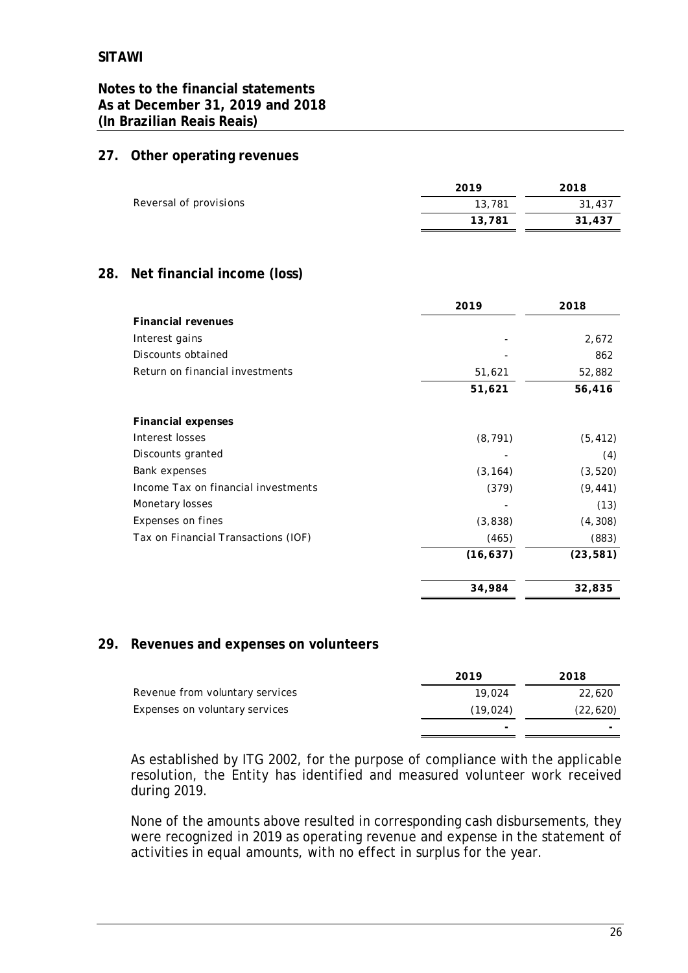#### **27. Other operating revenues**

|     |                                     | 2019      | 2018      |
|-----|-------------------------------------|-----------|-----------|
|     | Reversal of provisions              | 13,781    | 31,437    |
|     |                                     | 13,781    | 31,437    |
|     |                                     |           |           |
| 28. | Net financial income (loss)         |           |           |
|     |                                     | 2019      | 2018      |
|     | <b>Financial revenues</b>           |           |           |
|     | Interest gains                      |           | 2,672     |
|     | Discounts obtained                  |           | 862       |
|     | Return on financial investments     | 51,621    | 52,882    |
|     |                                     | 51,621    | 56,416    |
|     | Financial expenses                  |           |           |
|     | Interest losses                     | (8, 791)  | (5, 412)  |
|     | Discounts granted                   |           | (4)       |
|     | Bank expenses                       | (3, 164)  | (3, 520)  |
|     | Income Tax on financial investments | (379)     | (9, 441)  |
|     | Monetary losses                     |           | (13)      |
|     | Expenses on fines                   | (3,838)   | (4, 308)  |
|     | Tax on Financial Transactions (IOF) | (465)     | (883)     |
|     |                                     | (16, 637) | (23, 581) |
|     |                                     | 34,984    | 32,835    |
|     |                                     |           |           |

#### **29. Revenues and expenses on volunteers**

|                                 | 2019     | 2018      |
|---------------------------------|----------|-----------|
| Revenue from voluntary services | 19.024   | 22,620    |
| Expenses on voluntary services  | (19.024) | (22, 620) |
|                                 |          |           |

As established by ITG 2002, for the purpose of compliance with the applicable resolution, the Entity has identified and measured volunteer work received during 2019.

None of the amounts above resulted in corresponding cash disbursements, they were recognized in 2019 as operating revenue and expense in the statement of activities in equal amounts, with no effect in surplus for the year.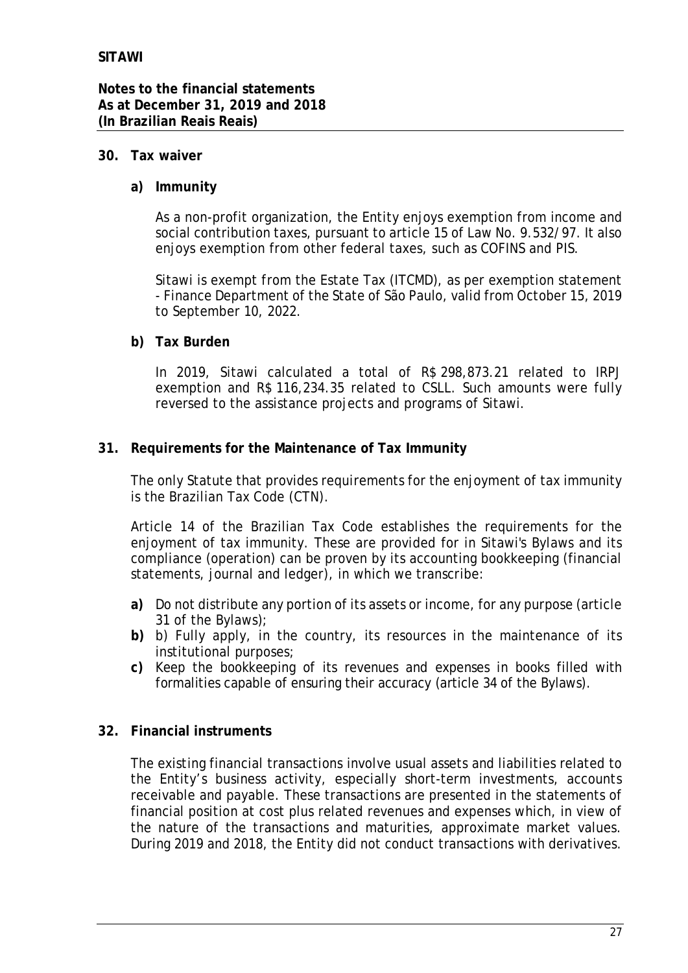#### **30. Tax waiver**

**a) Immunity**

As a non-profit organization, the Entity enjoys exemption from income and social contribution taxes, pursuant to article 15 of Law No. 9.532/97. It also enjoys exemption from other federal taxes, such as COFINS and PIS.

Sitawi is exempt from the Estate Tax (ITCMD), as per exemption statement - Finance Department of the State of São Paulo, valid from October 15, 2019 to September 10, 2022.

**b) Tax Burden**

In 2019, Sitawi calculated a total of R\$ 298,873.21 related to IRPJ exemption and R\$ 116,234.35 related to CSLL. Such amounts were fully reversed to the assistance projects and programs of Sitawi.

**31. Requirements for the Maintenance of Tax Immunity**

The only Statute that provides requirements for the enjoyment of tax immunity is the Brazilian Tax Code (CTN).

Article 14 of the Brazilian Tax Code establishes the requirements for the enjoyment of tax immunity. These are provided for in Sitawi's Bylaws and its compliance (operation) can be proven by its accounting bookkeeping (financial statements, journal and ledger), in which we transcribe:

- **a)** Do not distribute any portion of its assets or income, for any purpose (article 31 of the Bylaws);
- **b)** b) Fully apply, in the country, its resources in the maintenance of its institutional purposes;
- **c)** Keep the bookkeeping of its revenues and expenses in books filled with formalities capable of ensuring their accuracy (article 34 of the Bylaws).
- **32. Financial instruments**

The existing financial transactions involve usual assets and liabilities related to the Entity's business activity, especially short-term investments, accounts receivable and payable. These transactions are presented in the statements of financial position at cost plus related revenues and expenses which, in view of the nature of the transactions and maturities, approximate market values. During 2019 and 2018, the Entity did not conduct transactions with derivatives.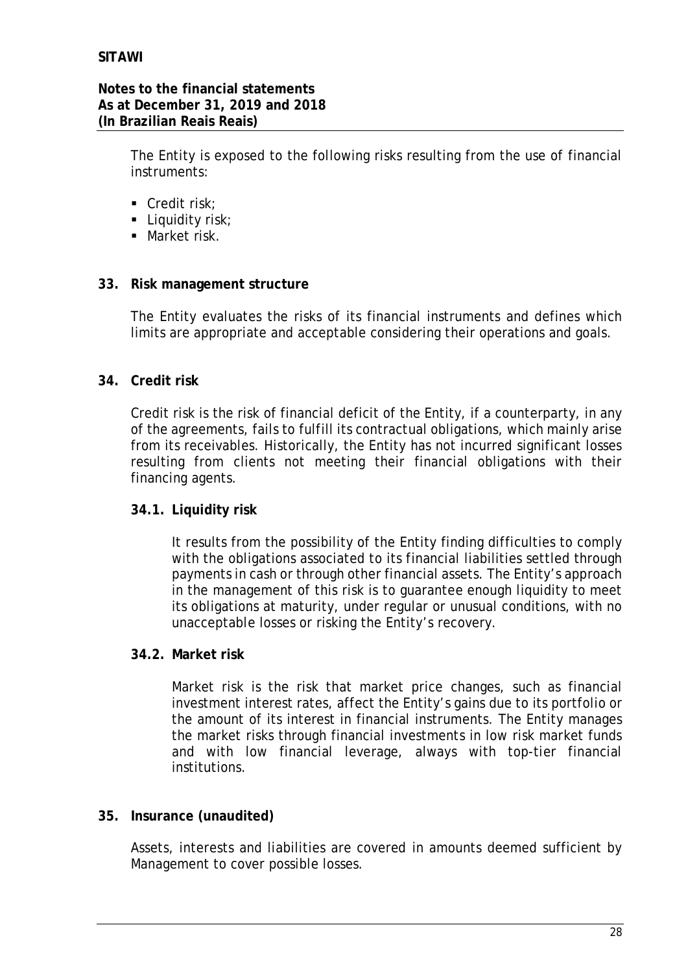> The Entity is exposed to the following risks resulting from the use of financial instruments:

- Credit risk:
- Liquidity risk;
- Market risk.

#### **33. Risk management structure**

The Entity evaluates the risks of its financial instruments and defines which limits are appropriate and acceptable considering their operations and goals.

#### **34. Credit risk**

Credit risk is the risk of financial deficit of the Entity, if a counterparty, in any of the agreements, fails to fulfill its contractual obligations, which mainly arise from its receivables. Historically, the Entity has not incurred significant losses resulting from clients not meeting their financial obligations with their financing agents.

#### **34.1. Liquidity risk**

It results from the possibility of the Entity finding difficulties to comply with the obligations associated to its financial liabilities settled through payments in cash or through other financial assets. The Entity's approach in the management of this risk is to guarantee enough liquidity to meet its obligations at maturity, under regular or unusual conditions, with no unacceptable losses or risking the Entity's recovery.

#### **34.2. Market risk**

Market risk is the risk that market price changes, such as financial investment interest rates, affect the Entity's gains due to its portfolio or the amount of its interest in financial instruments. The Entity manages the market risks through financial investments in low risk market funds and with low financial leverage, always with top-tier financial institutions.

### **35. Insurance (unaudited)**

Assets, interests and liabilities are covered in amounts deemed sufficient by Management to cover possible losses.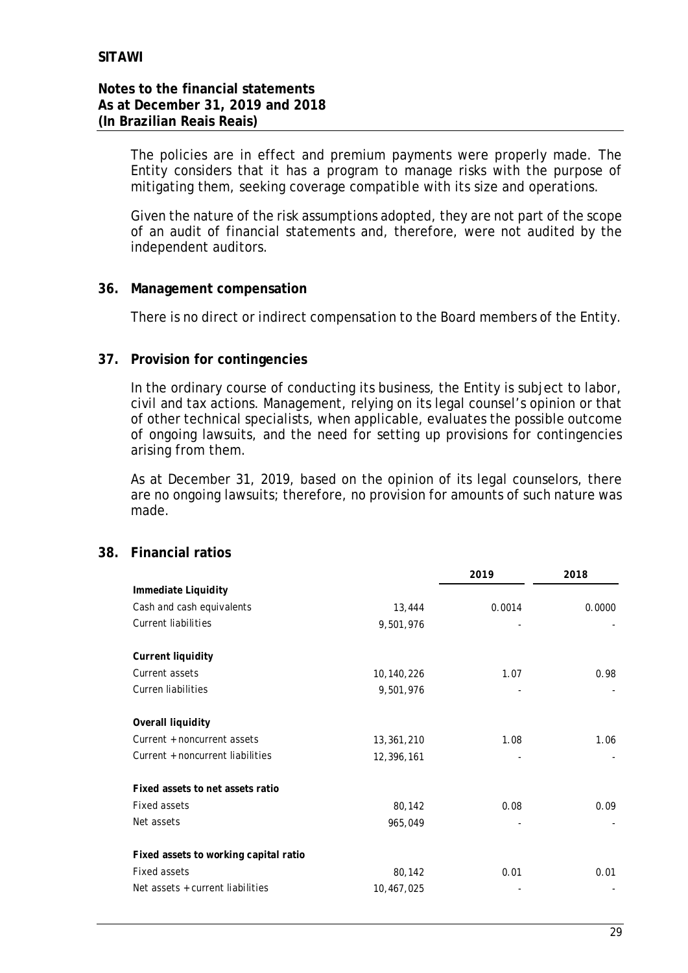The policies are in effect and premium payments were properly made. The Entity considers that it has a program to manage risks with the purpose of mitigating them, seeking coverage compatible with its size and operations.

Given the nature of the risk assumptions adopted, they are not part of the scope of an audit of financial statements and, therefore, were not audited by the independent auditors.

**36. Management compensation**

There is no direct or indirect compensation to the Board members of the Entity.

#### **37. Provision for contingencies**

In the ordinary course of conducting its business, the Entity is subject to labor, civil and tax actions. Management, relying on its legal counsel's opinion or that of other technical specialists, when applicable, evaluates the possible outcome of ongoing lawsuits, and the need for setting up provisions for contingencies arising from them.

As at December 31, 2019, based on the opinion of its legal counselors, there are no ongoing lawsuits; therefore, no provision for amounts of such nature was made.

#### **38. Financial ratios**

|                                       |            | 2019   | 2018   |
|---------------------------------------|------------|--------|--------|
| Immediate Liquidity                   |            |        |        |
| Cash and cash equivalents             | 13,444     | 0.0014 | 0.0000 |
| Current liabilities                   | 9,501,976  |        |        |
| Current liquidity                     |            |        |        |
| Current assets                        | 10,140,226 | 1.07   | 0.98   |
| Curren liabilities                    | 9,501,976  |        |        |
| Overall liquidity                     |            |        |        |
| Current + noncurrent assets           | 13,361,210 | 1.08   | 1.06   |
| Current + noncurrent liabilities      | 12,396,161 |        |        |
| Fixed assets to net assets ratio      |            |        |        |
| Fixed assets                          | 80,142     | 0.08   | 0.09   |
| Net assets                            | 965,049    |        |        |
| Fixed assets to working capital ratio |            |        |        |
| <b>Fixed assets</b>                   | 80,142     | 0.01   | 0.01   |
| Net assets + current liabilities      | 10,467,025 |        |        |